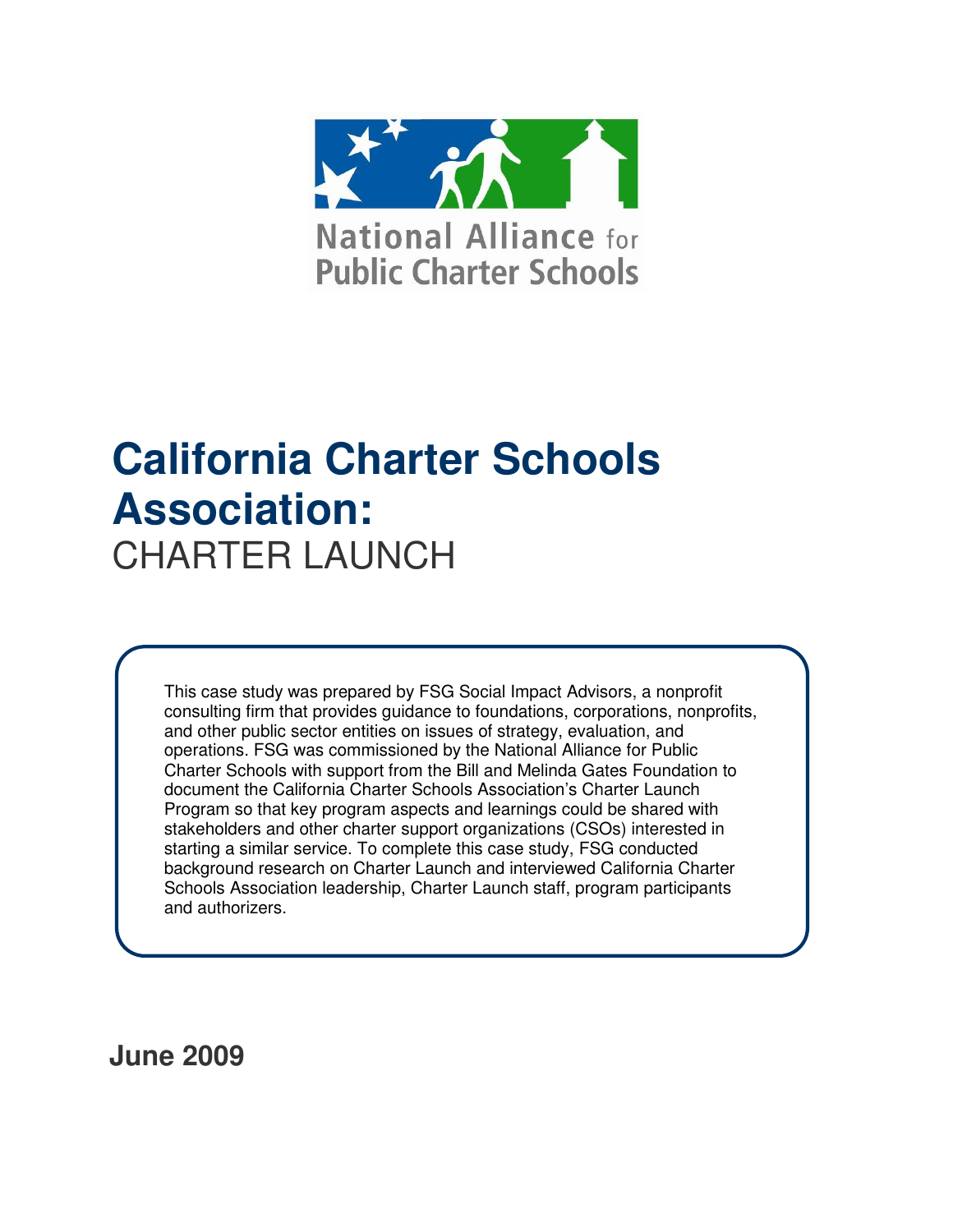

# **California Charter Schools Association:**  CHARTER LAUNCH

This case study was prepared by FSG Social Impact Advisors, a nonprofit consulting firm that provides guidance to foundations, corporations, nonprofits, and other public sector entities on issues of strategy, evaluation, and operations. FSG was commissioned by the National Alliance for Public Charter Schools with support from the Bill and Melinda Gates Foundation to document the California Charter Schools Association's Charter Launch Program so that key program aspects and learnings could be shared with stakeholders and other charter support organizations (CSOs) interested in starting a similar service. To complete this case study, FSG conducted background research on Charter Launch and interviewed California Charter Schools Association leadership, Charter Launch staff, program participants and authorizers.

**June 2009**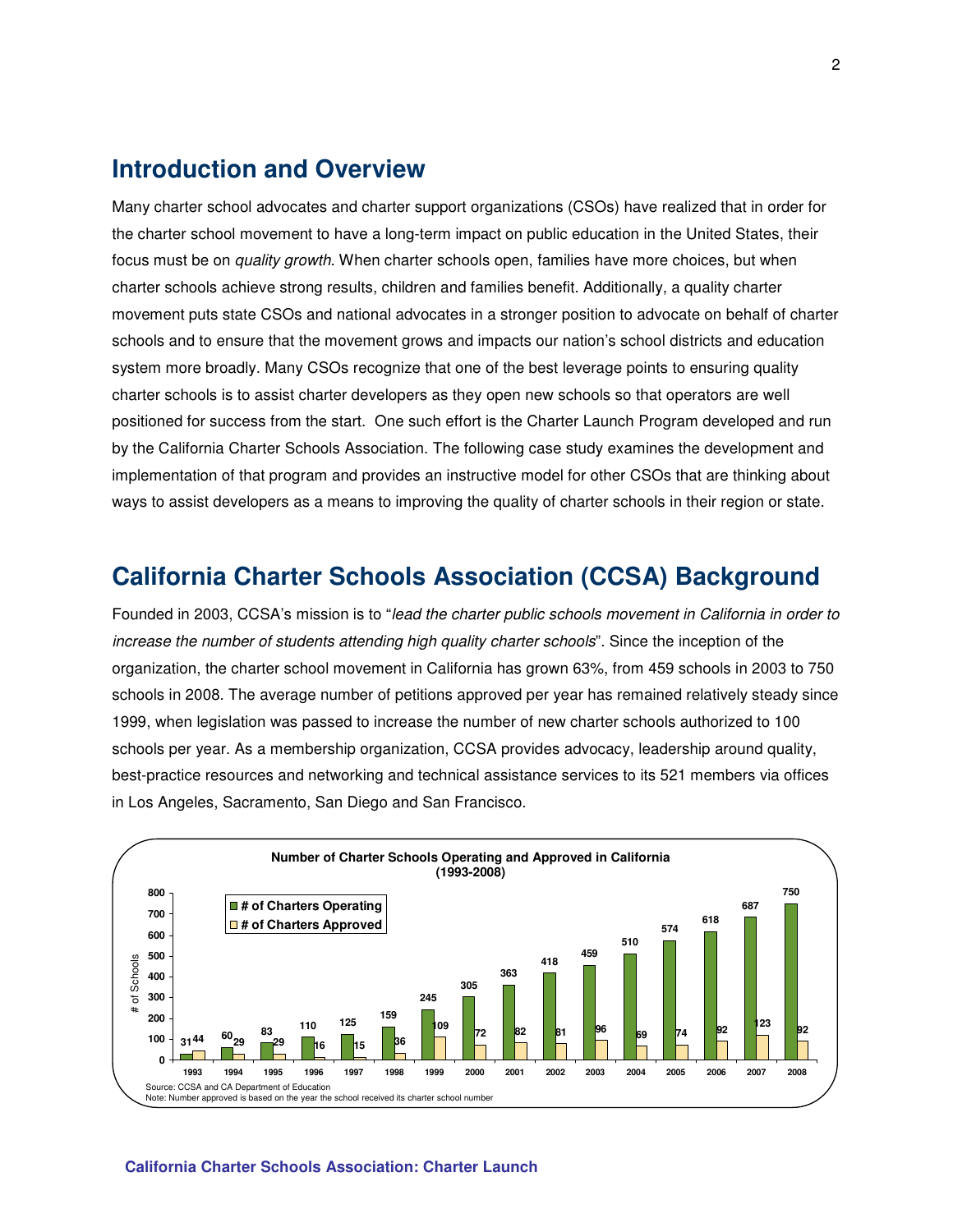# **Introduction and Overview**

Many charter school advocates and charter support organizations (CSOs) have realized that in order for the charter school movement to have a long-term impact on public education in the United States, their focus must be on *quality growth*. When charter schools open, families have more choices, but when charter schools achieve strong results, children and families benefit. Additionally, a quality charter movement puts state CSOs and national advocates in a stronger position to advocate on behalf of charter schools and to ensure that the movement grows and impacts our nation's school districts and education system more broadly. Many CSOs recognize that one of the best leverage points to ensuring quality charter schools is to assist charter developers as they open new schools so that operators are well positioned for success from the start. One such effort is the Charter Launch Program developed and run by the California Charter Schools Association. The following case study examines the development and implementation of that program and provides an instructive model for other CSOs that are thinking about ways to assist developers as a means to improving the quality of charter schools in their region or state.

# **California Charter Schools Association (CCSA) Background**

Founded in 2003, CCSA's mission is to "lead the charter public schools movement in California in order to increase the number of students attending high quality charter schools". Since the inception of the organization, the charter school movement in California has grown 63%, from 459 schools in 2003 to 750 schools in 2008. The average number of petitions approved per year has remained relatively steady since 1999, when legislation was passed to increase the number of new charter schools authorized to 100 schools per year. As a membership organization, CCSA provides advocacy, leadership around quality, best-practice resources and networking and technical assistance services to its 521 members via offices in Los Angeles, Sacramento, San Diego and San Francisco.



#### **California Charter Schools Association: Charter Launch**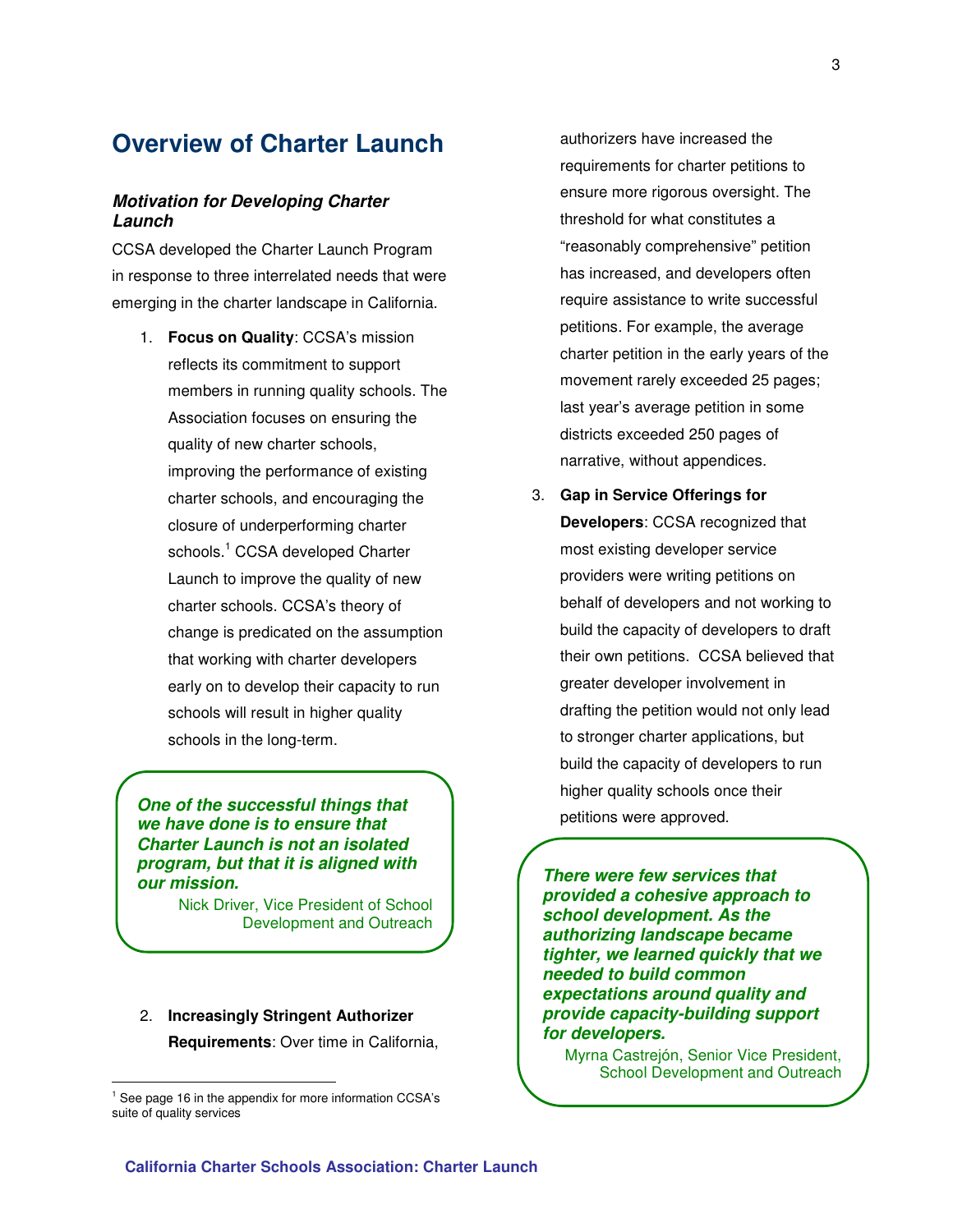# **Overview of Charter Launch**

#### **Motivation for Developing Charter Launch**

CCSA developed the Charter Launch Program in response to three interrelated needs that were emerging in the charter landscape in California.

1. **Focus on Quality**: CCSA's mission reflects its commitment to support members in running quality schools. The Association focuses on ensuring the quality of new charter schools, improving the performance of existing charter schools, and encouraging the closure of underperforming charter schools.<sup>1</sup> CCSA developed Charter Launch to improve the quality of new charter schools. CCSA's theory of change is predicated on the assumption that working with charter developers early on to develop their capacity to run schools will result in higher quality schools in the long-term.

**One of the successful things that we have done is to ensure that Charter Launch is not an isolated program, but that it is aligned with our mission.** 

> Nick Driver, Vice President of School Development and Outreach

# 2. **Increasingly Stringent Authorizer Requirements**: Over time in California,

 $\overline{a}$ 

authorizers have increased the requirements for charter petitions to ensure more rigorous oversight. The threshold for what constitutes a "reasonably comprehensive" petition has increased, and developers often require assistance to write successful petitions. For example, the average charter petition in the early years of the movement rarely exceeded 25 pages; last year's average petition in some districts exceeded 250 pages of narrative, without appendices.

3. **Gap in Service Offerings for Developers**: CCSA recognized that most existing developer service providers were writing petitions on behalf of developers and not working to build the capacity of developers to draft their own petitions. CCSA believed that greater developer involvement in drafting the petition would not only lead to stronger charter applications, but build the capacity of developers to run higher quality schools once their petitions were approved.

**There were few services that provided a cohesive approach to school development. As the authorizing landscape became tighter, we learned quickly that we needed to build common expectations around quality and provide capacity-building support for developers.** 

Myrna Castrejón, Senior Vice President, School Development and Outreach

<sup>&</sup>lt;sup>1</sup> See page 16 in the appendix for more information CCSA's suite of quality services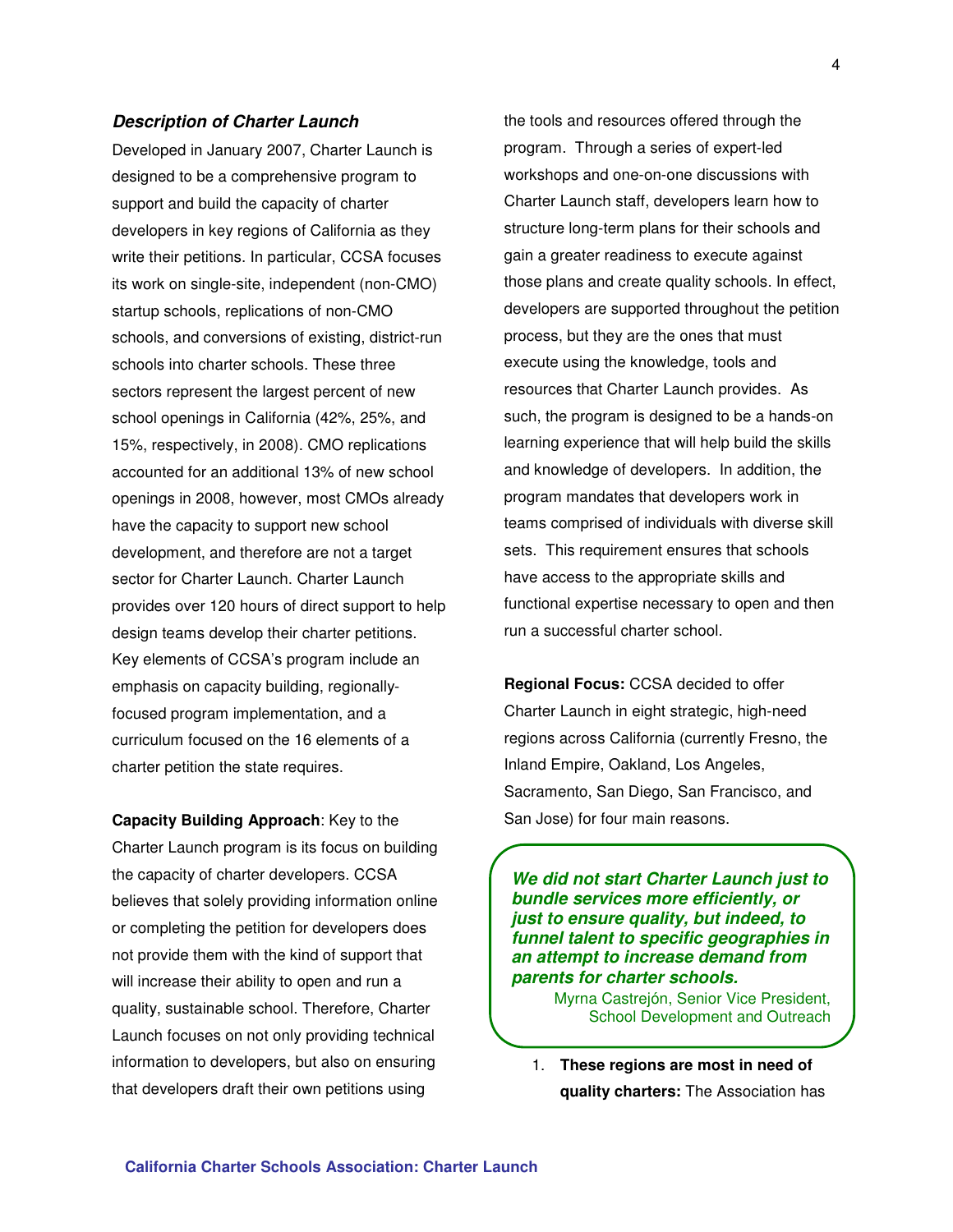#### **Description of Charter Launch**

Developed in January 2007, Charter Launch is designed to be a comprehensive program to support and build the capacity of charter developers in key regions of California as they write their petitions. In particular, CCSA focuses its work on single-site, independent (non-CMO) startup schools, replications of non-CMO schools, and conversions of existing, district-run schools into charter schools. These three sectors represent the largest percent of new school openings in California (42%, 25%, and 15%, respectively, in 2008). CMO replications accounted for an additional 13% of new school openings in 2008, however, most CMOs already have the capacity to support new school development, and therefore are not a target sector for Charter Launch. Charter Launch provides over 120 hours of direct support to help design teams develop their charter petitions. Key elements of CCSA's program include an emphasis on capacity building, regionallyfocused program implementation, and a curriculum focused on the 16 elements of a charter petition the state requires.

**Capacity Building Approach**: Key to the Charter Launch program is its focus on building the capacity of charter developers. CCSA believes that solely providing information online or completing the petition for developers does not provide them with the kind of support that will increase their ability to open and run a quality, sustainable school. Therefore, Charter Launch focuses on not only providing technical information to developers, but also on ensuring that developers draft their own petitions using

the tools and resources offered through the program. Through a series of expert-led workshops and one-on-one discussions with Charter Launch staff, developers learn how to structure long-term plans for their schools and gain a greater readiness to execute against those plans and create quality schools. In effect, developers are supported throughout the petition process, but they are the ones that must execute using the knowledge, tools and resources that Charter Launch provides. As such, the program is designed to be a hands-on learning experience that will help build the skills and knowledge of developers. In addition, the program mandates that developers work in teams comprised of individuals with diverse skill sets. This requirement ensures that schools have access to the appropriate skills and functional expertise necessary to open and then run a successful charter school.

**Regional Focus:** CCSA decided to offer Charter Launch in eight strategic, high-need regions across California (currently Fresno, the Inland Empire, Oakland, Los Angeles, Sacramento, San Diego, San Francisco, and San Jose) for four main reasons.

**We did not start Charter Launch just to bundle services more efficiently, or just to ensure quality, but indeed, to funnel talent to specific geographies in an attempt to increase demand from parents for charter schools.** 

> Myrna Castrejón, Senior Vice President, School Development and Outreach

1. **These regions are most in need of quality charters:** The Association has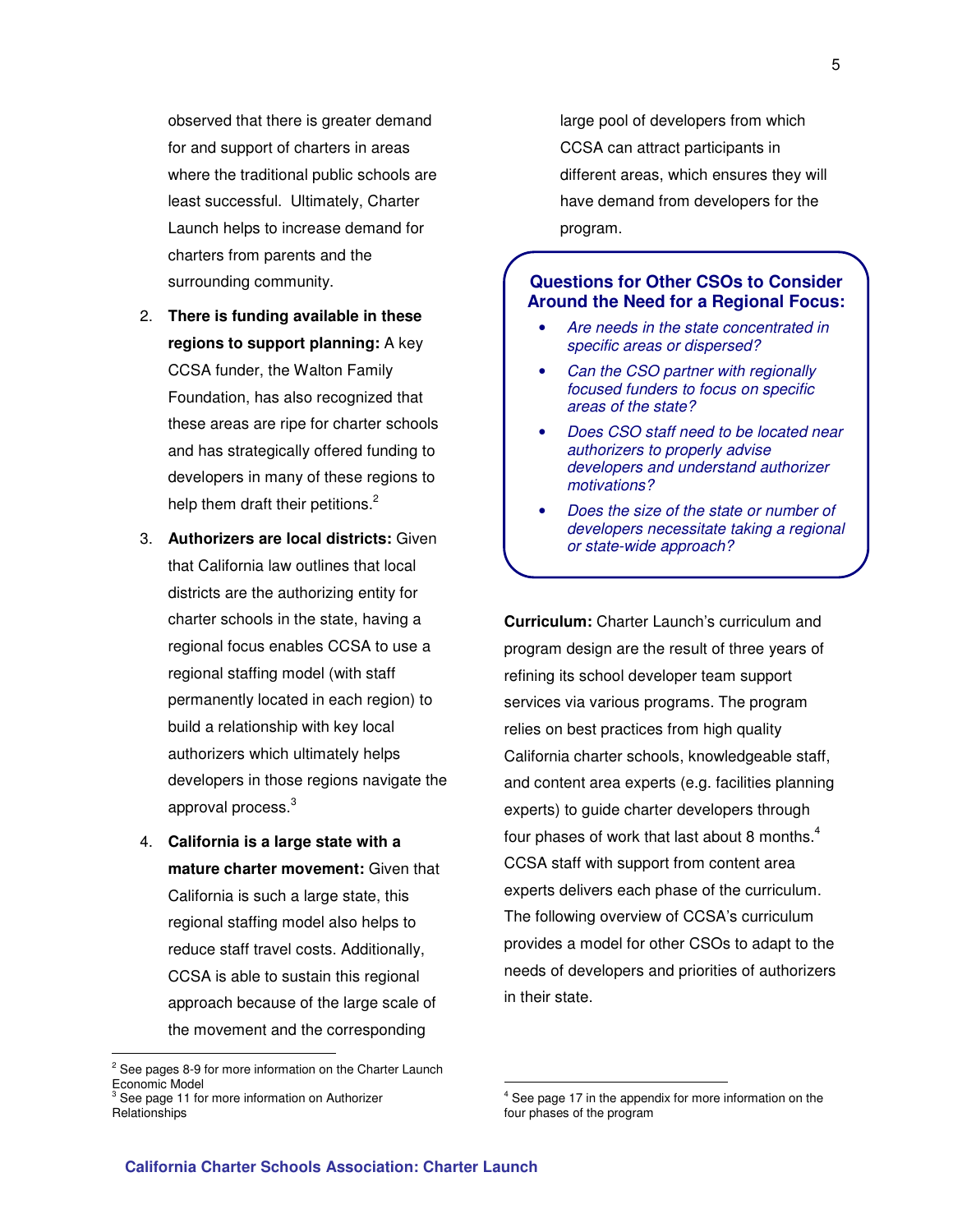observed that there is greater demand for and support of charters in areas where the traditional public schools are least successful. Ultimately, Charter Launch helps to increase demand for charters from parents and the surrounding community.

- 2. **There is funding available in these regions to support planning:** A key CCSA funder, the Walton Family Foundation, has also recognized that these areas are ripe for charter schools and has strategically offered funding to developers in many of these regions to help them draft their petitions.<sup>2</sup>
- 3. **Authorizers are local districts:** Given that California law outlines that local districts are the authorizing entity for charter schools in the state, having a regional focus enables CCSA to use a regional staffing model (with staff permanently located in each region) to build a relationship with key local authorizers which ultimately helps developers in those regions navigate the approval process.<sup>3</sup>
- 4. **California is a large state with a mature charter movement:** Given that California is such a large state, this regional staffing model also helps to reduce staff travel costs. Additionally, CCSA is able to sustain this regional approach because of the large scale of the movement and the corresponding

 $\overline{a}$ 

large pool of developers from which CCSA can attract participants in different areas, which ensures they will have demand from developers for the program.

#### **Questions for Other CSOs to Consider Around the Need for a Regional Focus:**

- Are needs in the state concentrated in specific areas or dispersed?
- Can the CSO partner with regionally focused funders to focus on specific areas of the state?
- Does CSO staff need to be located near authorizers to properly advise developers and understand authorizer motivations?
- Does the size of the state or number of developers necessitate taking a regional or state-wide approach?

**Curriculum:** Charter Launch's curriculum and program design are the result of three years of refining its school developer team support services via various programs. The program relies on best practices from high quality California charter schools, knowledgeable staff, and content area experts (e.g. facilities planning experts) to guide charter developers through four phases of work that last about 8 months. $4$ CCSA staff with support from content area experts delivers each phase of the curriculum. The following overview of CCSA's curriculum provides a model for other CSOs to adapt to the needs of developers and priorities of authorizers in their state.

 $\overline{a}$ 

<sup>&</sup>lt;sup>2</sup> See pages 8-9 for more information on the Charter Launch Economic Model<br><sup>3</sup> Coo nogo 11 for

See page 11 for more information on Authorizer Relationships

<sup>4</sup> See page 17 in the appendix for more information on the four phases of the program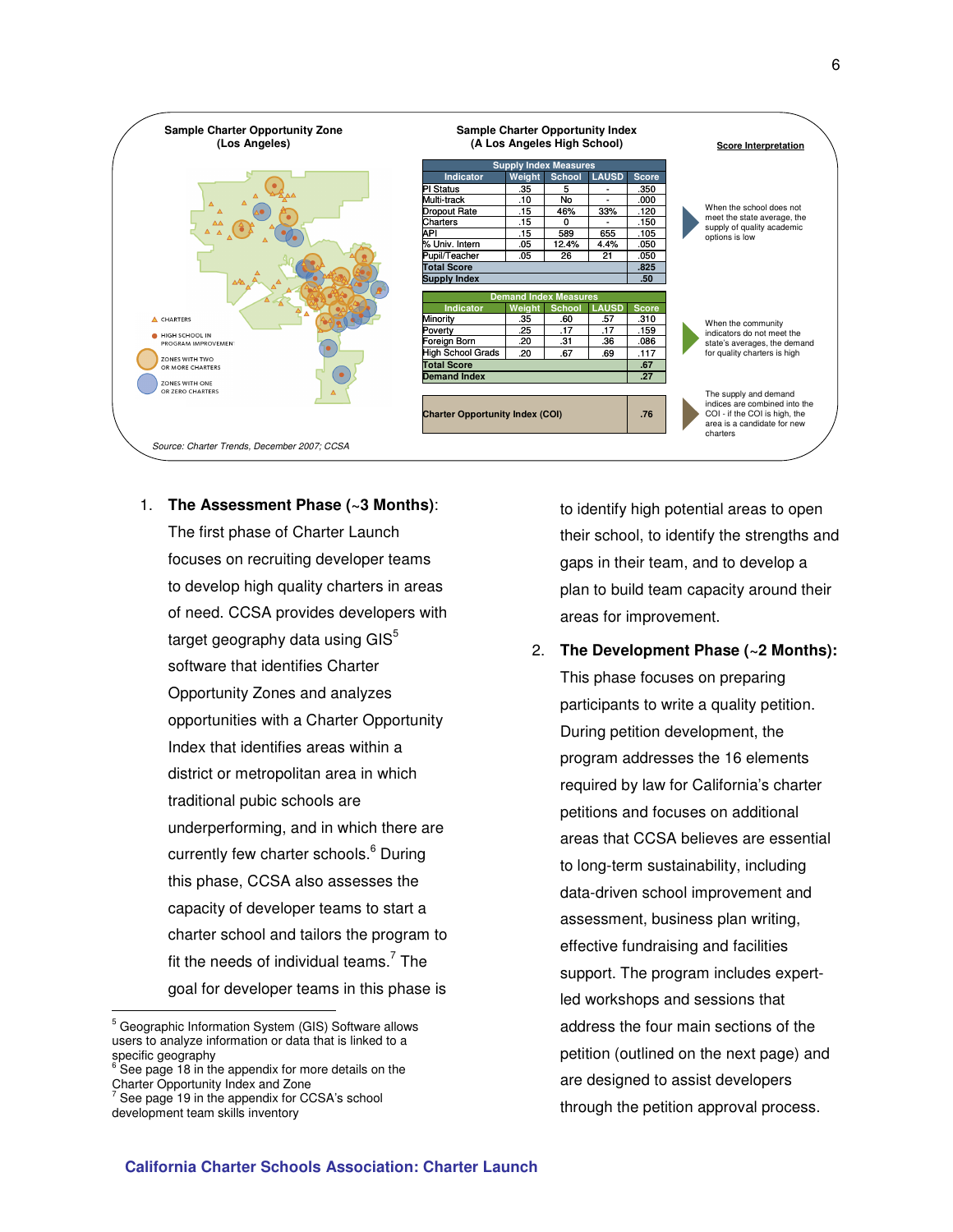

1. **The Assessment Phase (~3 Months)**:

The first phase of Charter Launch focuses on recruiting developer teams to develop high quality charters in areas of need. CCSA provides developers with target geography data using  $GIS<sup>5</sup>$ software that identifies Charter Opportunity Zones and analyzes opportunities with a Charter Opportunity Index that identifies areas within a district or metropolitan area in which traditional pubic schools are underperforming, and in which there are currently few charter schools.<sup>6</sup> During this phase, CCSA also assesses the capacity of developer teams to start a charter school and tailors the program to fit the needs of individual teams.<sup>7</sup> The goal for developer teams in this phase is

 $\overline{a}$ 

to identify high potential areas to open their school, to identify the strengths and gaps in their team, and to develop a plan to build team capacity around their areas for improvement.

2. **The Development Phase (~2 Months):**

This phase focuses on preparing participants to write a quality petition. During petition development, the program addresses the 16 elements required by law for California's charter petitions and focuses on additional areas that CCSA believes are essential to long-term sustainability, including data-driven school improvement and assessment, business plan writing, effective fundraising and facilities support. The program includes expertled workshops and sessions that address the four main sections of the petition (outlined on the next page) and are designed to assist developers through the petition approval process.

<sup>&</sup>lt;sup>5</sup> Geographic Information System (GIS) Software allows users to analyze information or data that is linked to a specific geography

<sup>6</sup> See page 18 in the appendix for more details on the Charter Opportunity Index and Zone<br>
<sup>7</sup> See name 10 in the appendix for CO

See page 19 in the appendix for CCSA's school development team skills inventory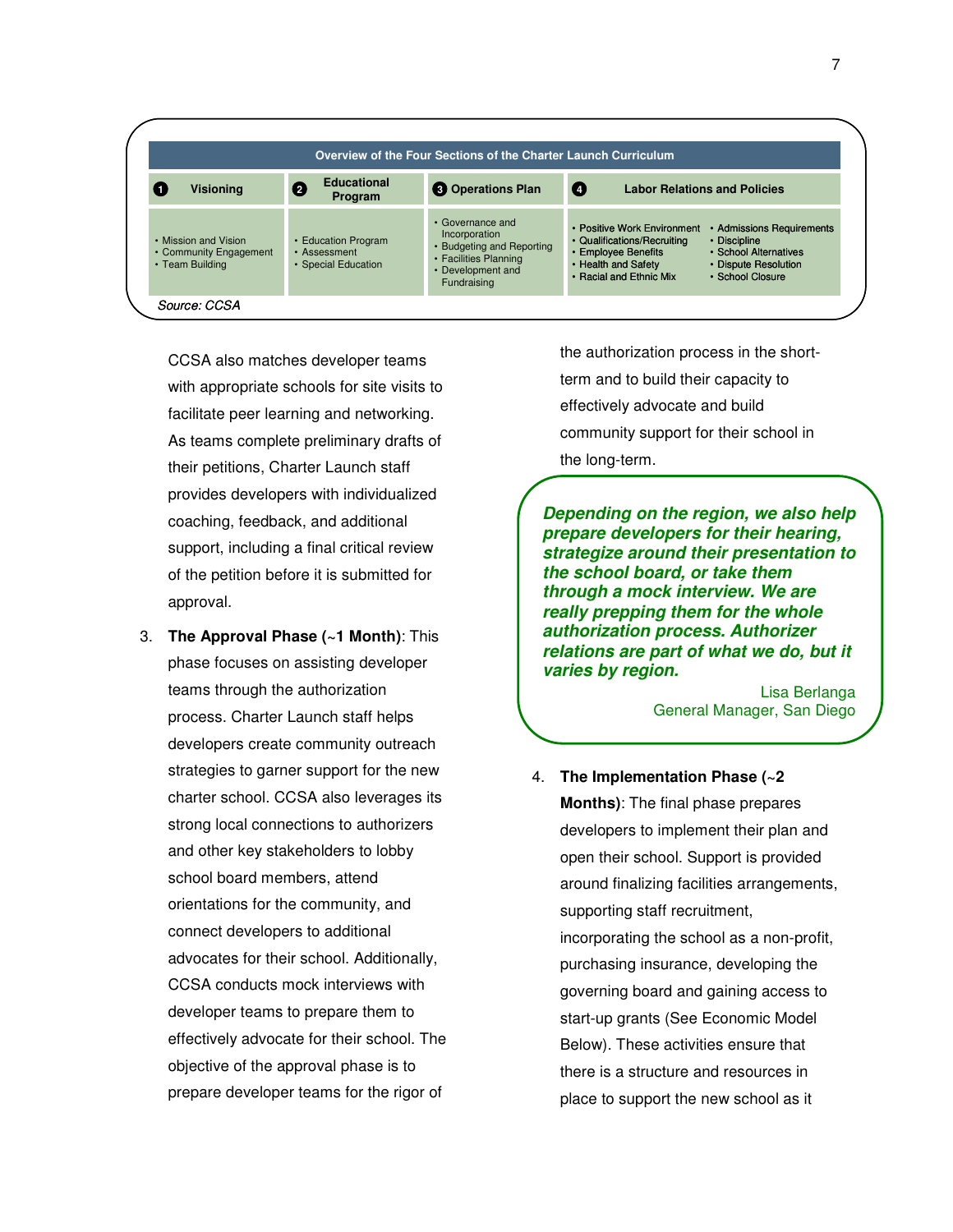

CCSA also matches developer teams with appropriate schools for site visits to facilitate peer learning and networking. As teams complete preliminary drafts of their petitions, Charter Launch staff provides developers with individualized coaching, feedback, and additional support, including a final critical review of the petition before it is submitted for approval.

3. **The Approval Phase (~1 Month)**: This phase focuses on assisting developer teams through the authorization process. Charter Launch staff helps developers create community outreach strategies to garner support for the new charter school. CCSA also leverages its strong local connections to authorizers and other key stakeholders to lobby school board members, attend orientations for the community, and connect developers to additional advocates for their school. Additionally, CCSA conducts mock interviews with developer teams to prepare them to effectively advocate for their school. The objective of the approval phase is to prepare developer teams for the rigor of

the authorization process in the shortterm and to build their capacity to effectively advocate and build community support for their school in the long-term.

**Depending on the region, we also help prepare developers for their hearing, strategize around their presentation to the school board, or take them through a mock interview. We are really prepping them for the whole authorization process. Authorizer relations are part of what we do, but it varies by region.**

> Lisa Berlanga General Manager, San Diego

4. **The Implementation Phase (~2 Months)**: The final phase prepares developers to implement their plan and open their school. Support is provided around finalizing facilities arrangements, supporting staff recruitment, incorporating the school as a non-profit, purchasing insurance, developing the governing board and gaining access to start-up grants (See Economic Model Below). These activities ensure that there is a structure and resources in place to support the new school as it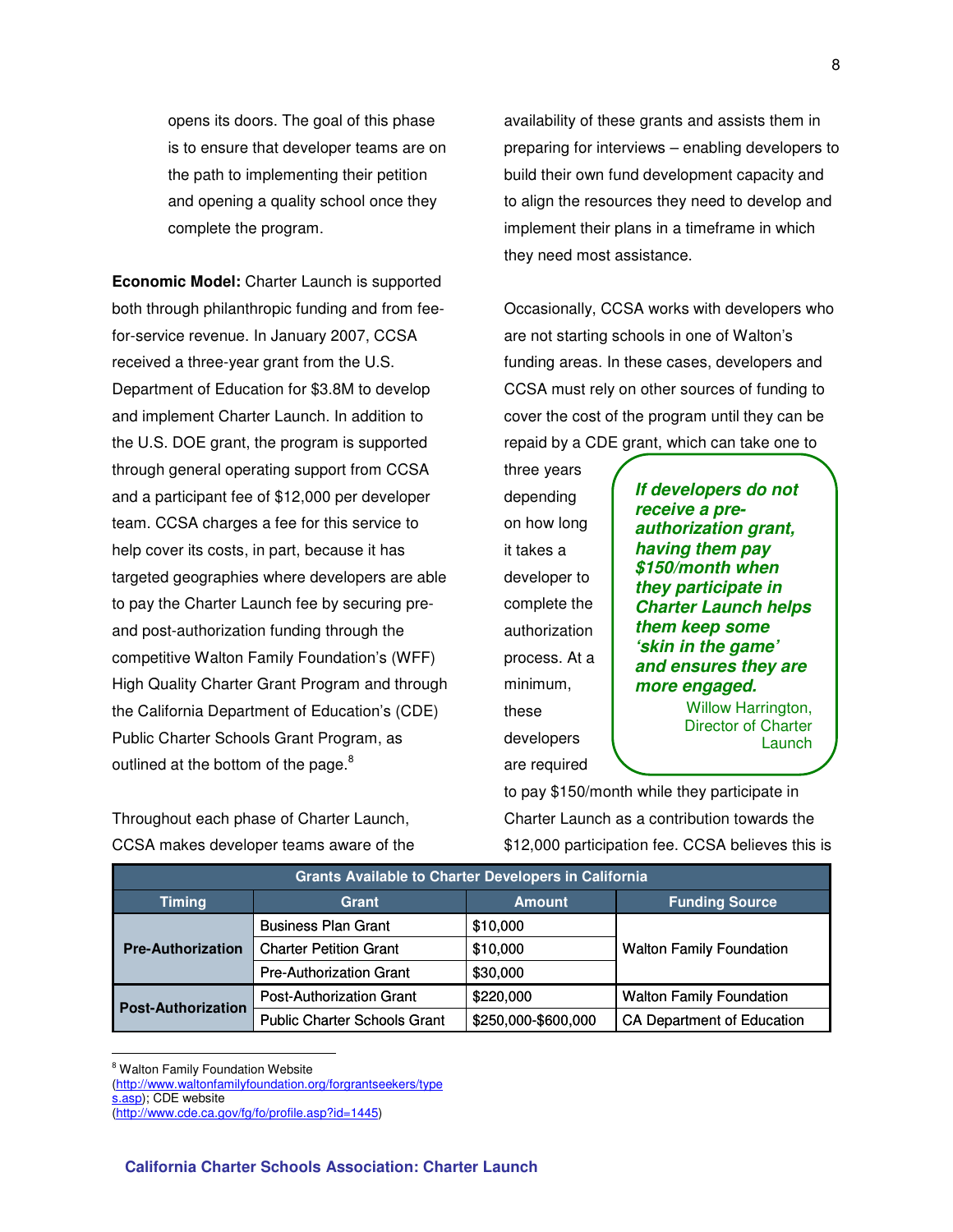opens its doors. The goal of this phase is to ensure that developer teams are on the path to implementing their petition and opening a quality school once they complete the program.

**Economic Model:** Charter Launch is supported both through philanthropic funding and from feefor-service revenue. In January 2007, CCSA received a three-year grant from the U.S. Department of Education for \$3.8M to develop and implement Charter Launch. In addition to the U.S. DOE grant, the program is supported through general operating support from CCSA and a participant fee of \$12,000 per developer team. CCSA charges a fee for this service to help cover its costs, in part, because it has targeted geographies where developers are able to pay the Charter Launch fee by securing preand post-authorization funding through the competitive Walton Family Foundation's (WFF) High Quality Charter Grant Program and through the California Department of Education's (CDE) Public Charter Schools Grant Program, as outlined at the bottom of the page.<sup>8</sup>

availability of these grants and assists them in preparing for interviews – enabling developers to build their own fund development capacity and to align the resources they need to develop and implement their plans in a timeframe in which they need most assistance.

Occasionally, CCSA works with developers who are not starting schools in one of Walton's funding areas. In these cases, developers and CCSA must rely on other sources of funding to cover the cost of the program until they can be repaid by a CDE grant, which can take one to

three years depending on how long it takes a developer to complete the authorization process. At a minimum, these developers are required

**If developers do not receive a preauthorization grant, having them pay \$150/month when they participate in Charter Launch helps them keep some 'skin in the game' and ensures they are more engaged.** 

> Willow Harrington, Director of Charter **Launch**

to pay \$150/month while they participate in Charter Launch as a contribution towards the \$12,000 participation fee. CCSA believes this is

|                           | <b>Grants Available to Charter Developers in California</b> |                     |                                   |  |  |  |  |  |  |
|---------------------------|-------------------------------------------------------------|---------------------|-----------------------------------|--|--|--|--|--|--|
| <b>Timing</b>             | Grant                                                       | <b>Amount</b>       | <b>Funding Source</b>             |  |  |  |  |  |  |
| <b>Pre-Authorization</b>  | <b>Business Plan Grant</b>                                  | \$10,000            |                                   |  |  |  |  |  |  |
|                           | <b>Charter Petition Grant</b>                               | \$10,000            | <b>Walton Family Foundation</b>   |  |  |  |  |  |  |
|                           | <b>Pre-Authorization Grant</b>                              | \$30,000            |                                   |  |  |  |  |  |  |
|                           | <b>Post-Authorization Grant</b>                             | \$220,000           | <b>Walton Family Foundation</b>   |  |  |  |  |  |  |
| <b>Post-Authorization</b> | <b>Public Charter Schools Grant</b>                         | \$250,000-\$600,000 | <b>CA Department of Education</b> |  |  |  |  |  |  |

<sup>8</sup> Walton Family Foundation Website

 $\overline{a}$ 

(http://www.waltonfamilyfoundation.org/forgrantseekers/type s.asp); CDE website

Throughout each phase of Charter Launch, CCSA makes developer teams aware of the

<sup>(</sup>http://www.cde.ca.gov/fg/fo/profile.asp?id=1445)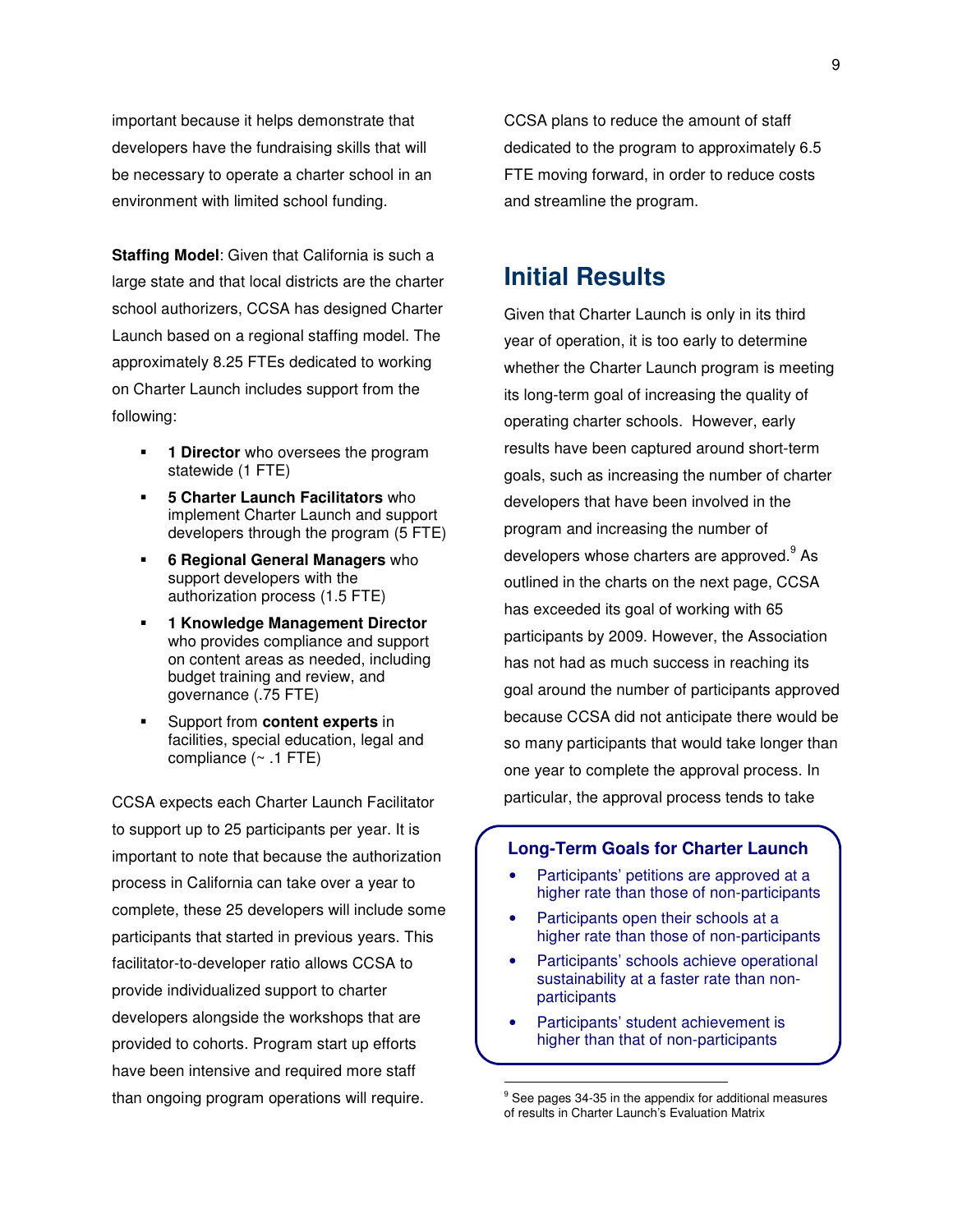important because it helps demonstrate that developers have the fundraising skills that will be necessary to operate a charter school in an environment with limited school funding.

**Staffing Model**: Given that California is such a large state and that local districts are the charter school authorizers, CCSA has designed Charter Launch based on a regional staffing model. The approximately 8.25 FTEs dedicated to working on Charter Launch includes support from the following:

- **1 Director** who oversees the program statewide (1 FTE)
- **5 Charter Launch Facilitators** who implement Charter Launch and support developers through the program (5 FTE)
- **6 Regional General Managers** who support developers with the authorization process (1.5 FTE)
- **1 Knowledge Management Director** who provides compliance and support on content areas as needed, including budget training and review, and governance (.75 FTE)
- Support from **content experts** in facilities, special education, legal and compliance  $($   $\sim$  .1 FTE)

CCSA expects each Charter Launch Facilitator to support up to 25 participants per year. It is important to note that because the authorization process in California can take over a year to complete, these 25 developers will include some participants that started in previous years. This facilitator-to-developer ratio allows CCSA to provide individualized support to charter developers alongside the workshops that are provided to cohorts. Program start up efforts have been intensive and required more staff than ongoing program operations will require.

CCSA plans to reduce the amount of staff dedicated to the program to approximately 6.5 FTE moving forward, in order to reduce costs and streamline the program.

# **Initial Results**

Given that Charter Launch is only in its third year of operation, it is too early to determine whether the Charter Launch program is meeting its long-term goal of increasing the quality of operating charter schools. However, early results have been captured around short-term goals, such as increasing the number of charter developers that have been involved in the program and increasing the number of developers whose charters are approved.<sup>9</sup> As outlined in the charts on the next page, CCSA has exceeded its goal of working with 65 participants by 2009. However, the Association has not had as much success in reaching its goal around the number of participants approved because CCSA did not anticipate there would be so many participants that would take longer than one year to complete the approval process. In particular, the approval process tends to take

#### **Long-Term Goals for Charter Launch**

- Participants' petitions are approved at a higher rate than those of non-participants
- Participants open their schools at a higher rate than those of non-participants
- Participants' schools achieve operational sustainability at a faster rate than nonparticipants
- Participants' student achievement is higher than that of non-participants

 $\overline{a}$ 

<sup>&</sup>lt;sup>9</sup> See pages 34-35 in the appendix for additional measures of results in Charter Launch's Evaluation Matrix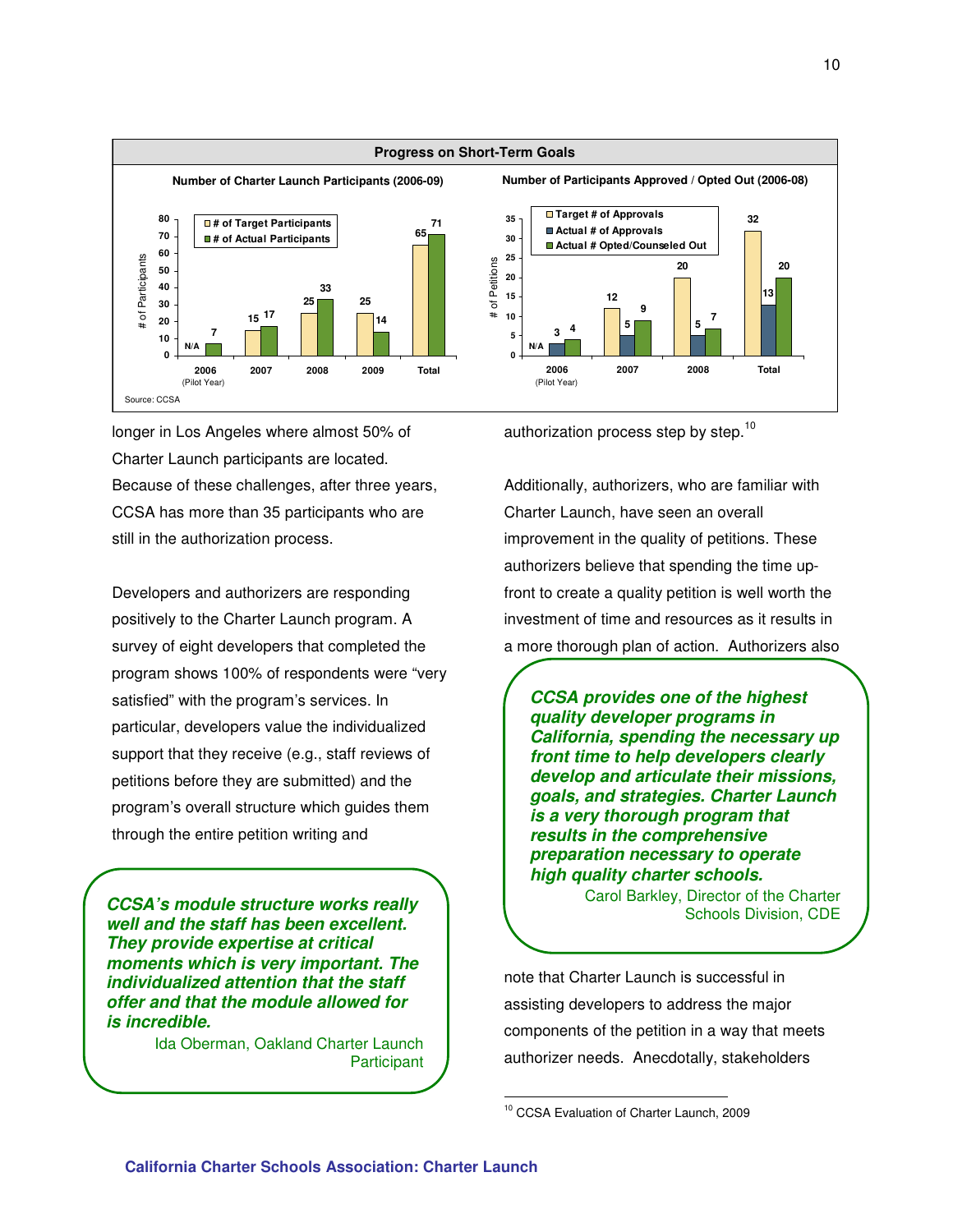

longer in Los Angeles where almost 50% of Charter Launch participants are located. Because of these challenges, after three years, CCSA has more than 35 participants who are still in the authorization process.

Developers and authorizers are responding positively to the Charter Launch program. A survey of eight developers that completed the program shows 100% of respondents were "very satisfied" with the program's services. In particular, developers value the individualized support that they receive (e.g., staff reviews of petitions before they are submitted) and the program's overall structure which guides them through the entire petition writing and

CCSA's module structure works really **CCSA's module structure works really** Carol Banney, Director of the Charler **well and the staff has been excellent. They provide expertise at critical moments which is very important. The individualized attention that the staff offer and that the module allowed for is incredible.** 

Ida Oberman, Oakland Charter Launch **Participant** 

authorization process step by step.<sup>10</sup>

Additionally, authorizers, who are familiar with Charter Launch, have seen an overall improvement in the quality of petitions. These authorizers believe that spending the time upfront to create a quality petition is well worth the investment of time and resources as it results in a more thorough plan of action. Authorizers also

**CCSA provides one of the highest quality developer programs in California, spending the necessary up front time to help developers clearly develop and articulate their missions, goals, and strategies. Charter Launch is a very thorough program that results in the comprehensive preparation necessary to operate high quality charter schools.** 

Carol Barkley, Director of the Charter

note that Charter Launch is successful in assisting developers to address the major components of the petition in a way that meets authorizer needs. Anecdotally, stakeholders

 $\overline{a}$ 

<sup>10</sup> CCSA Evaluation of Charter Launch, 2009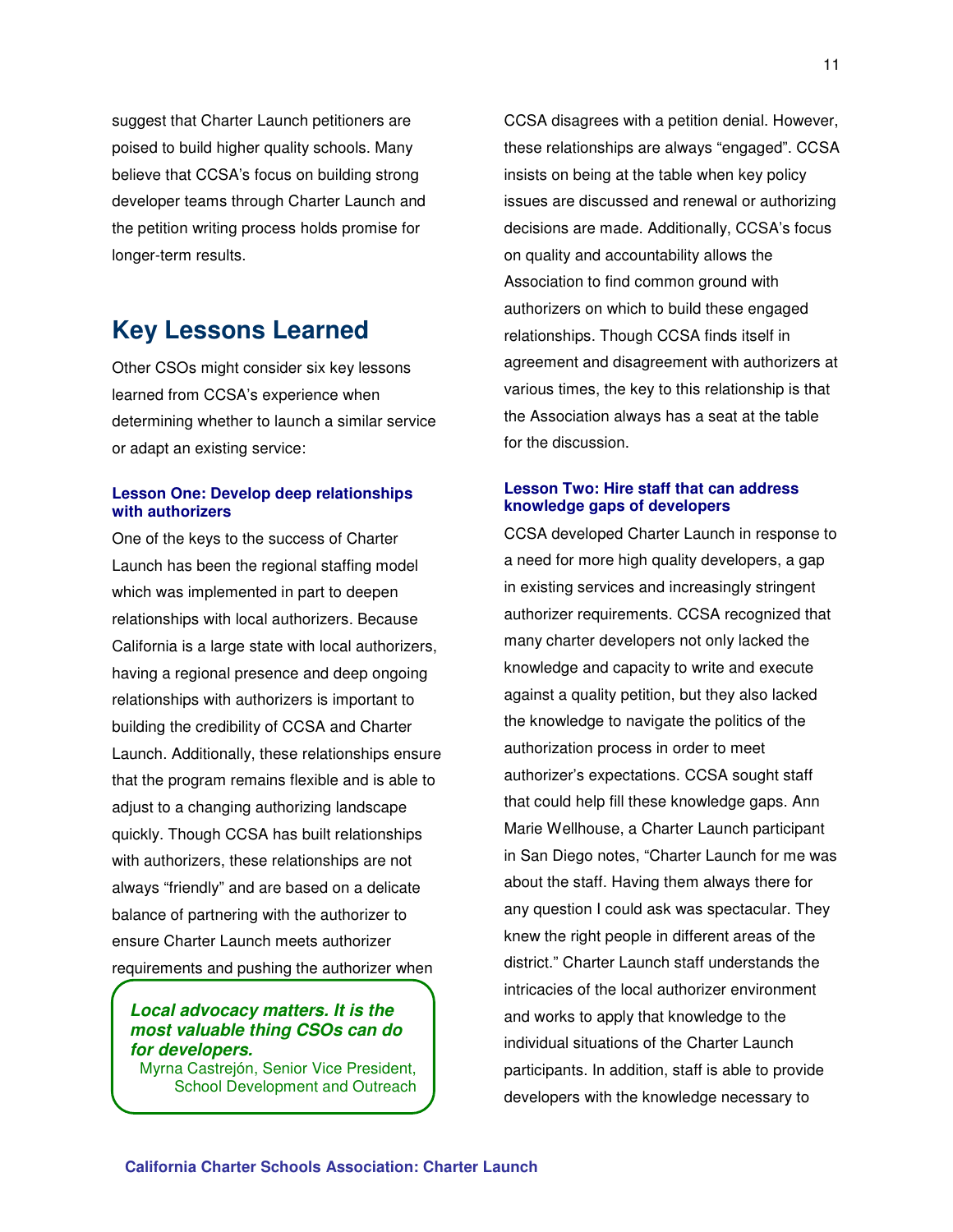suggest that Charter Launch petitioners are poised to build higher quality schools. Many believe that CCSA's focus on building strong developer teams through Charter Launch and the petition writing process holds promise for longer-term results.

# **Key Lessons Learned**

Other CSOs might consider six key lessons learned from CCSA's experience when determining whether to launch a similar service or adapt an existing service:

#### **Lesson One: Develop deep relationships with authorizers**

One of the keys to the success of Charter Launch has been the regional staffing model which was implemented in part to deepen relationships with local authorizers. Because California is a large state with local authorizers, having a regional presence and deep ongoing relationships with authorizers is important to building the credibility of CCSA and Charter Launch. Additionally, these relationships ensure that the program remains flexible and is able to adjust to a changing authorizing landscape quickly. Though CCSA has built relationships with authorizers, these relationships are not always "friendly" and are based on a delicate balance of partnering with the authorizer to ensure Charter Launch meets authorizer requirements and pushing the authorizer when

#### **Local advocacy matters. It is the most valuable thing CSOs can do for developers.**

Myrna Castrejón, Senior Vice President, School Development and Outreach

CCSA disagrees with a petition denial. However, these relationships are always "engaged". CCSA insists on being at the table when key policy issues are discussed and renewal or authorizing decisions are made. Additionally, CCSA's focus on quality and accountability allows the Association to find common ground with authorizers on which to build these engaged relationships. Though CCSA finds itself in agreement and disagreement with authorizers at various times, the key to this relationship is that the Association always has a seat at the table for the discussion.

#### **Lesson Two: Hire staff that can address knowledge gaps of developers**

CCSA developed Charter Launch in response to a need for more high quality developers, a gap in existing services and increasingly stringent authorizer requirements. CCSA recognized that many charter developers not only lacked the knowledge and capacity to write and execute against a quality petition, but they also lacked the knowledge to navigate the politics of the authorization process in order to meet authorizer's expectations. CCSA sought staff that could help fill these knowledge gaps. Ann Marie Wellhouse, a Charter Launch participant in San Diego notes, "Charter Launch for me was about the staff. Having them always there for any question I could ask was spectacular. They knew the right people in different areas of the district." Charter Launch staff understands the intricacies of the local authorizer environment and works to apply that knowledge to the individual situations of the Charter Launch participants. In addition, staff is able to provide developers with the knowledge necessary to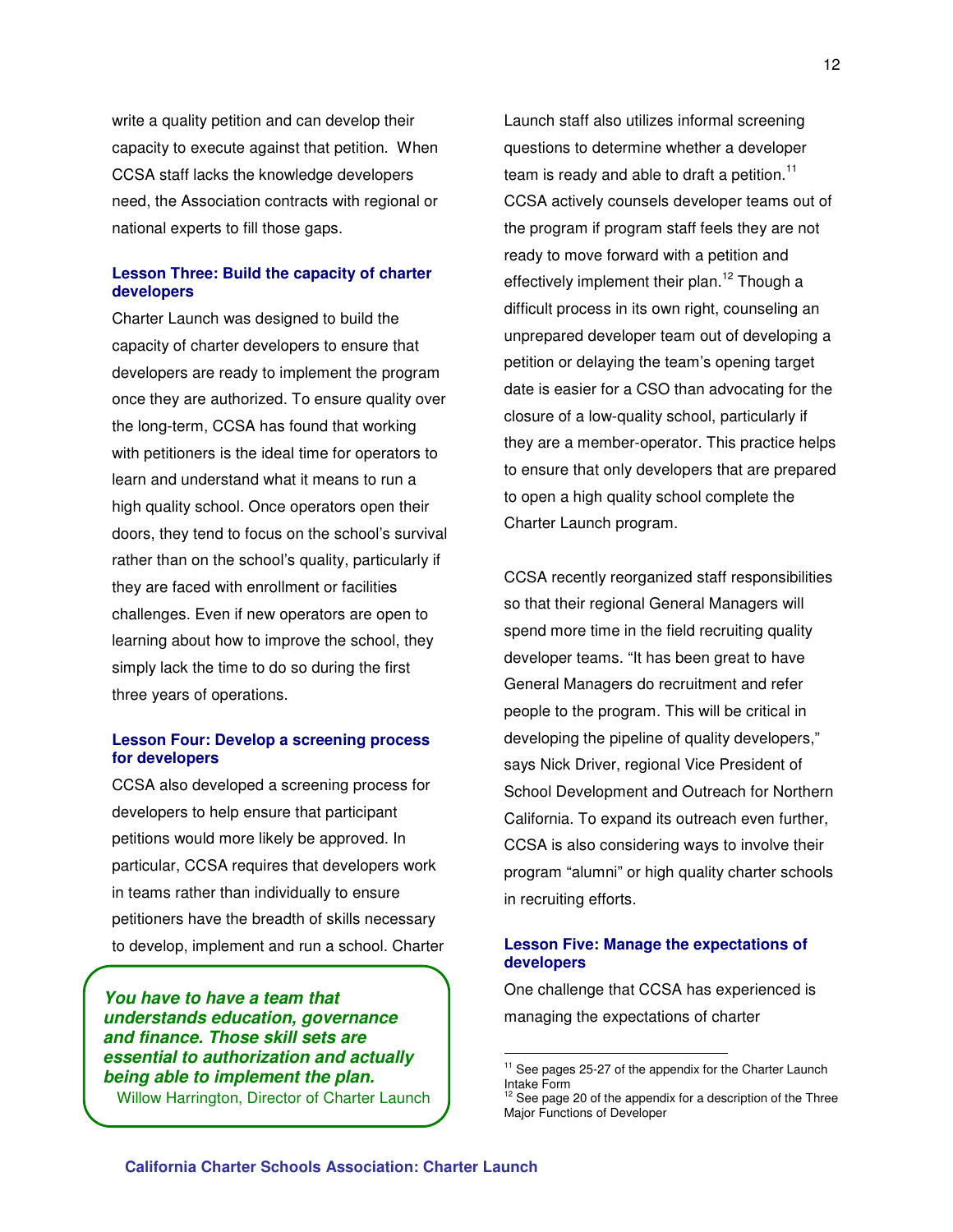write a quality petition and can develop their capacity to execute against that petition. When CCSA staff lacks the knowledge developers need, the Association contracts with regional or national experts to fill those gaps.

#### **Lesson Three: Build the capacity of charter developers**

Charter Launch was designed to build the capacity of charter developers to ensure that developers are ready to implement the program once they are authorized. To ensure quality over the long-term, CCSA has found that working with petitioners is the ideal time for operators to learn and understand what it means to run a high quality school. Once operators open their doors, they tend to focus on the school's survival rather than on the school's quality, particularly if they are faced with enrollment or facilities challenges. Even if new operators are open to learning about how to improve the school, they simply lack the time to do so during the first three years of operations.

#### **Lesson Four: Develop a screening process for developers**

CCSA also developed a screening process for developers to help ensure that participant petitions would more likely be approved. In particular, CCSA requires that developers work in teams rather than individually to ensure petitioners have the breadth of skills necessary to develop, implement and run a school. Charter

**You have to have a team that understands education, governance and finance. Those skill sets are essential to authorization and actually being able to implement the plan.**  Willow Harrington, Director of Charter Launch

Launch staff also utilizes informal screening questions to determine whether a developer team is ready and able to draft a petition.<sup>11</sup> CCSA actively counsels developer teams out of the program if program staff feels they are not ready to move forward with a petition and effectively implement their plan.<sup>12</sup> Though a difficult process in its own right, counseling an unprepared developer team out of developing a petition or delaying the team's opening target date is easier for a CSO than advocating for the closure of a low-quality school, particularly if they are a member-operator. This practice helps to ensure that only developers that are prepared to open a high quality school complete the Charter Launch program.

CCSA recently reorganized staff responsibilities so that their regional General Managers will spend more time in the field recruiting quality developer teams. "It has been great to have General Managers do recruitment and refer people to the program. This will be critical in developing the pipeline of quality developers," says Nick Driver, regional Vice President of School Development and Outreach for Northern California. To expand its outreach even further, CCSA is also considering ways to involve their program "alumni" or high quality charter schools in recruiting efforts.

#### **Lesson Five: Manage the expectations of developers**

One challenge that CCSA has experienced is managing the expectations of charter

 $\overline{a}$ 

 $11$  See pages 25-27 of the appendix for the Charter Launch Intake Form

 $12$  See page 20 of the appendix for a description of the Three Major Functions of Developer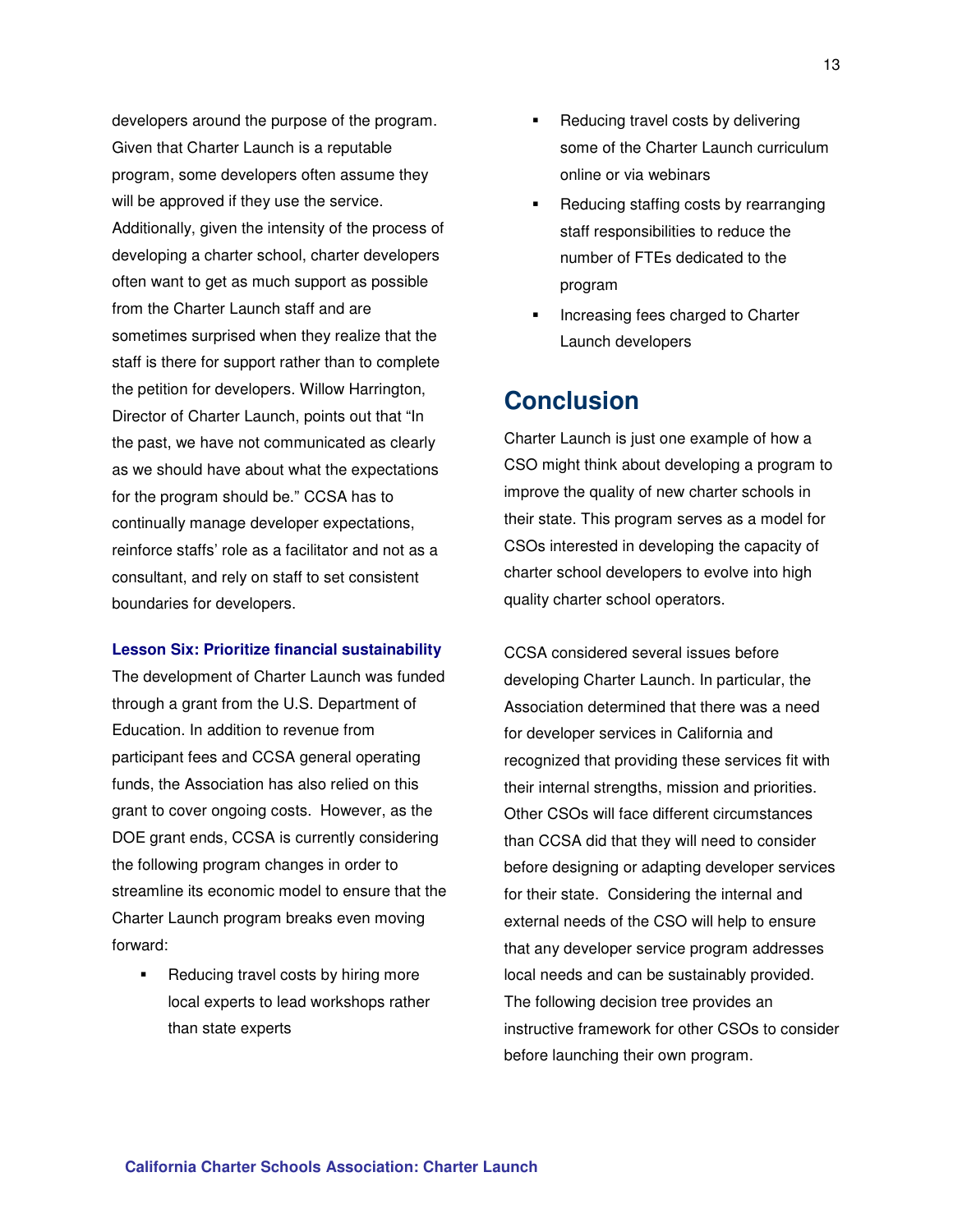developers around the purpose of the program. Given that Charter Launch is a reputable program, some developers often assume they will be approved if they use the service. Additionally, given the intensity of the process of developing a charter school, charter developers often want to get as much support as possible from the Charter Launch staff and are sometimes surprised when they realize that the staff is there for support rather than to complete the petition for developers. Willow Harrington, Director of Charter Launch, points out that "In the past, we have not communicated as clearly as we should have about what the expectations for the program should be." CCSA has to continually manage developer expectations, reinforce staffs' role as a facilitator and not as a consultant, and rely on staff to set consistent boundaries for developers.

#### **Lesson Six: Prioritize financial sustainability**

The development of Charter Launch was funded through a grant from the U.S. Department of Education. In addition to revenue from participant fees and CCSA general operating funds, the Association has also relied on this grant to cover ongoing costs. However, as the DOE grant ends, CCSA is currently considering the following program changes in order to streamline its economic model to ensure that the Charter Launch program breaks even moving forward:

 Reducing travel costs by hiring more local experts to lead workshops rather than state experts

- Reducing travel costs by delivering some of the Charter Launch curriculum online or via webinars
- Reducing staffing costs by rearranging staff responsibilities to reduce the number of FTEs dedicated to the program
- Increasing fees charged to Charter Launch developers

# **Conclusion**

Charter Launch is just one example of how a CSO might think about developing a program to improve the quality of new charter schools in their state. This program serves as a model for CSOs interested in developing the capacity of charter school developers to evolve into high quality charter school operators.

CCSA considered several issues before developing Charter Launch. In particular, the Association determined that there was a need for developer services in California and recognized that providing these services fit with their internal strengths, mission and priorities. Other CSOs will face different circumstances than CCSA did that they will need to consider before designing or adapting developer services for their state. Considering the internal and external needs of the CSO will help to ensure that any developer service program addresses local needs and can be sustainably provided. The following decision tree provides an instructive framework for other CSOs to consider before launching their own program.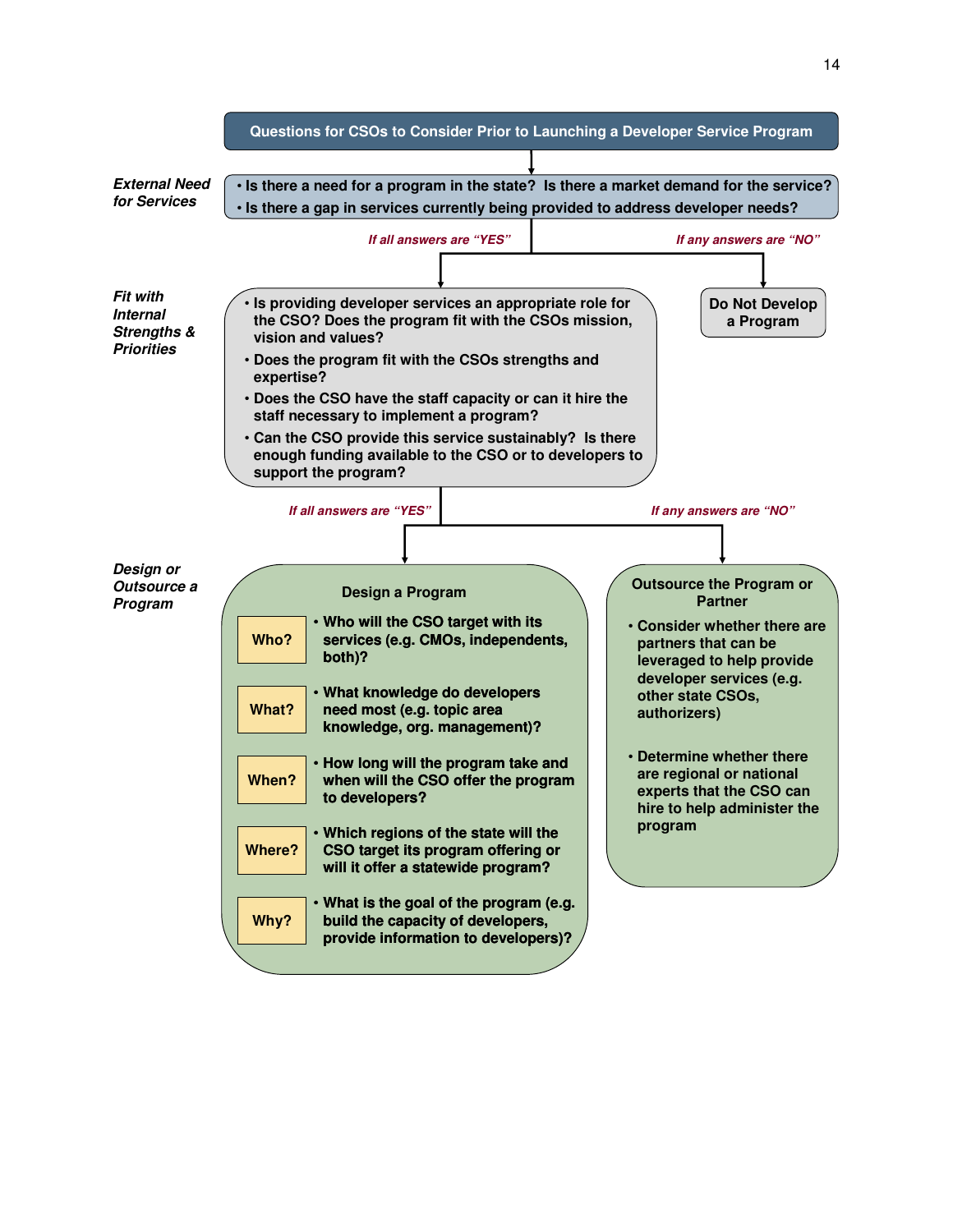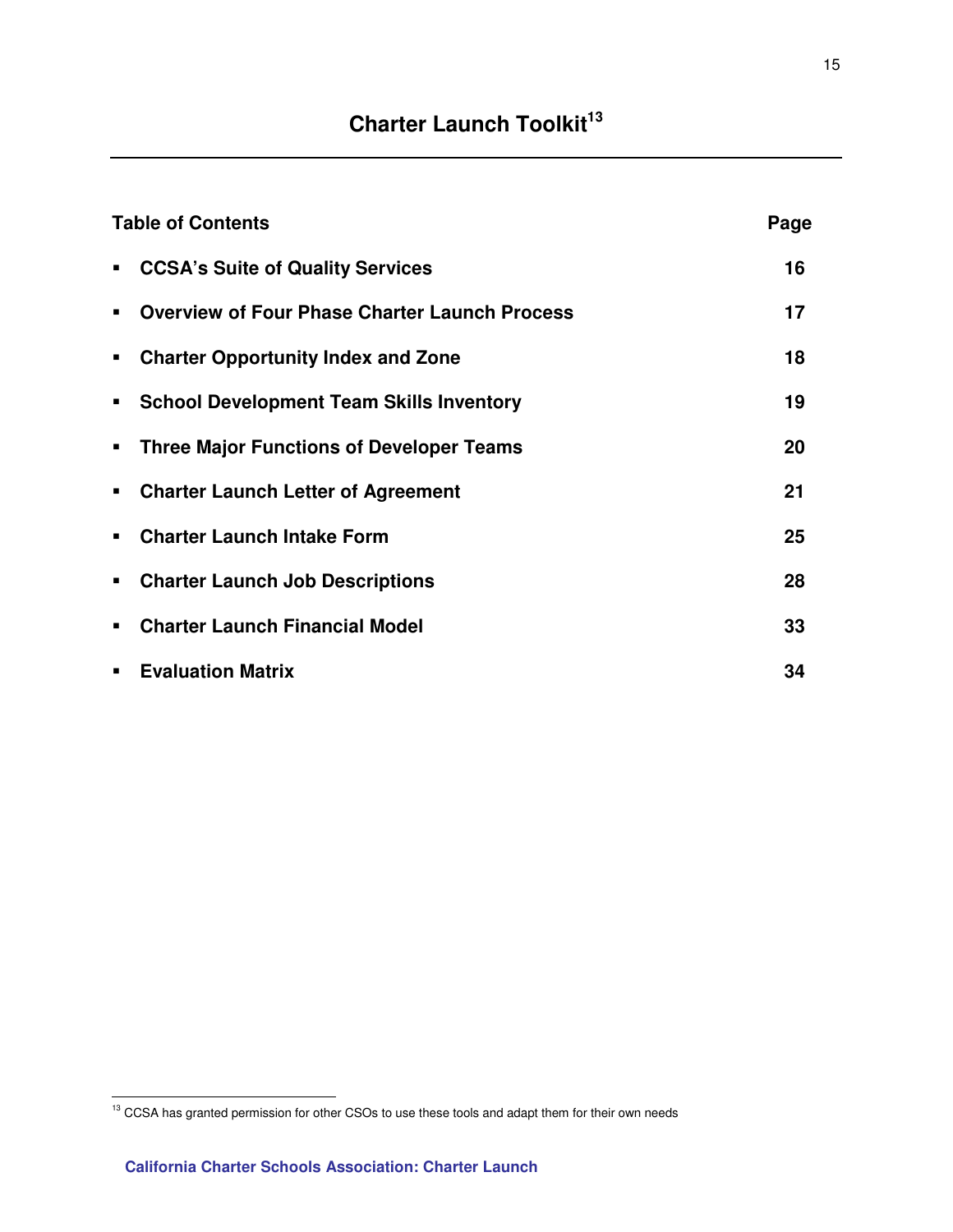# **Charter Launch Toolkit<sup>13</sup>**

|                | <b>Table of Contents</b>                             | Page |
|----------------|------------------------------------------------------|------|
| $\blacksquare$ | <b>CCSA's Suite of Quality Services</b>              | 16   |
|                | <b>Overview of Four Phase Charter Launch Process</b> | 17   |
| ٠              | <b>Charter Opportunity Index and Zone</b>            | 18   |
| ٠              | <b>School Development Team Skills Inventory</b>      | 19   |
| ٠              | <b>Three Major Functions of Developer Teams</b>      | 20   |
| ٠              | <b>Charter Launch Letter of Agreement</b>            | 21   |
|                | <b>Charter Launch Intake Form</b>                    | 25   |
| ٠              | <b>Charter Launch Job Descriptions</b>               | 28   |
|                | <b>Charter Launch Financial Model</b>                | 33   |
| ٠              | <b>Evaluation Matrix</b>                             | 34   |

 $\overline{a}$ 

<sup>&</sup>lt;sup>13</sup> CCSA has granted permission for other CSOs to use these tools and adapt them for their own needs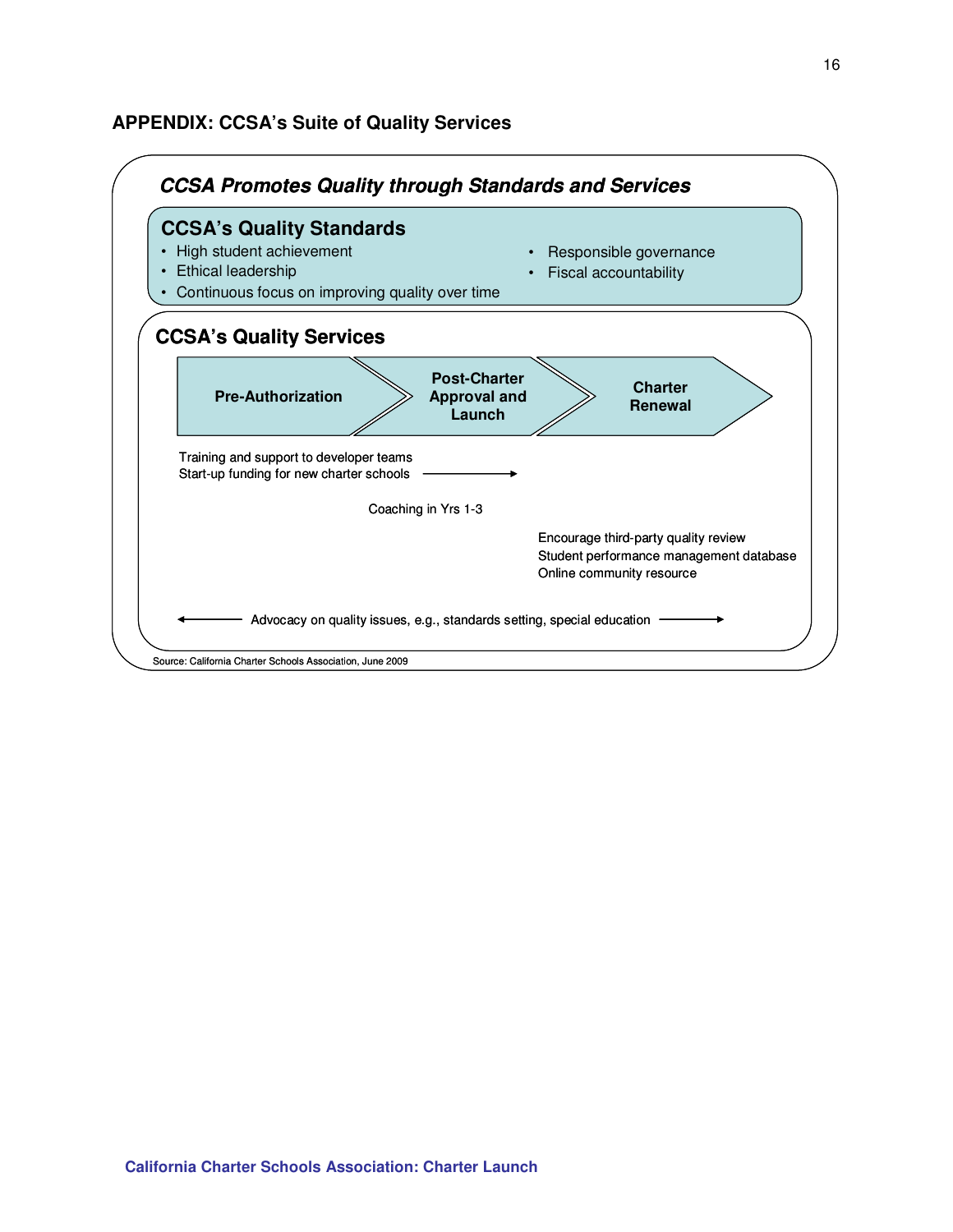### **APPENDIX: CCSA's Suite of Quality Services**

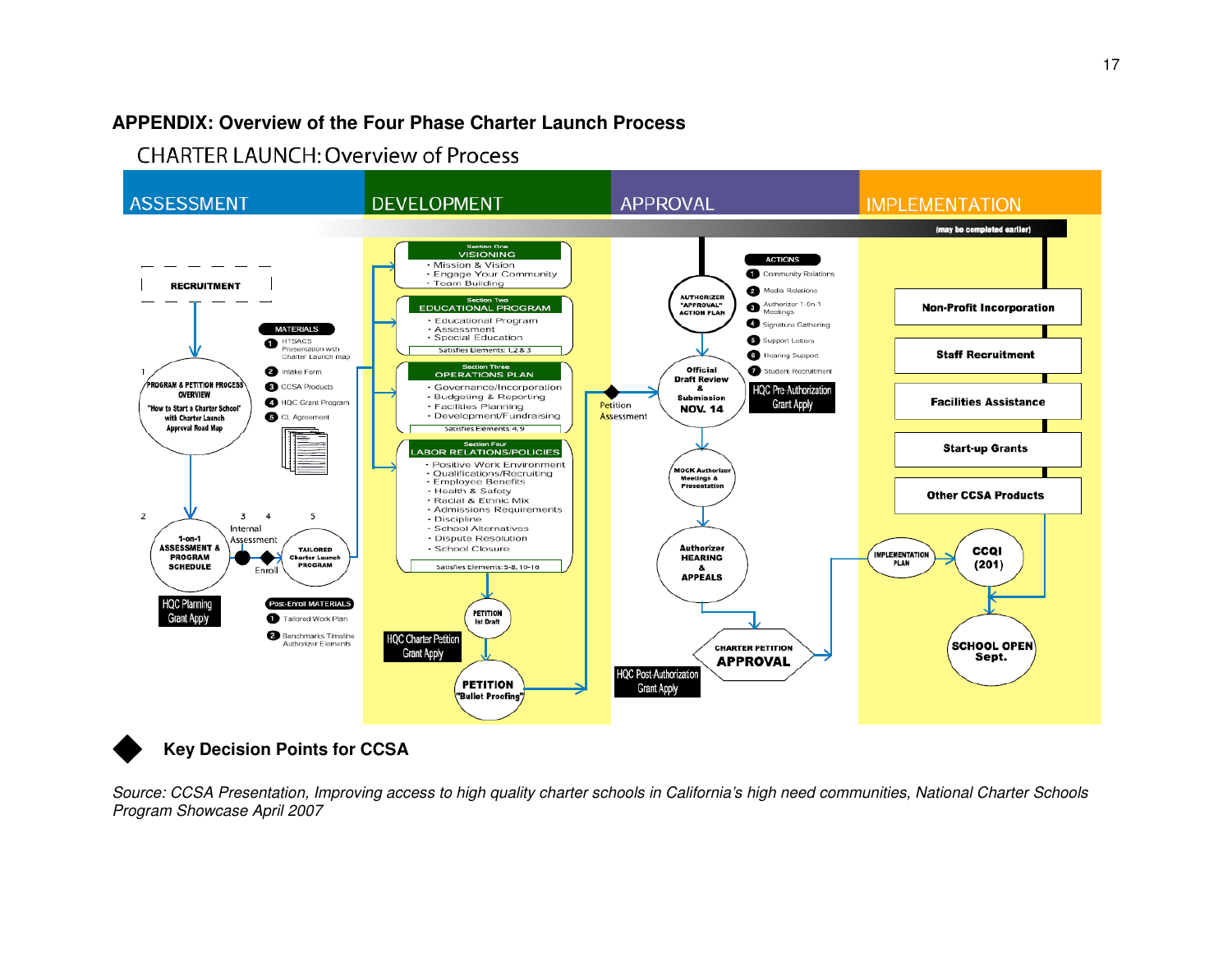# **APPENDIX: Overview of the Four Phase Charter Launch Process**

**CHARTER LAUNCH: Overview of Process** 



# **Key Decision Points for CCSA**

Source: CCSA Presentation, Improving access to high quality charter schools in California's high need communities, National Charter Schools Program Showcase April 2007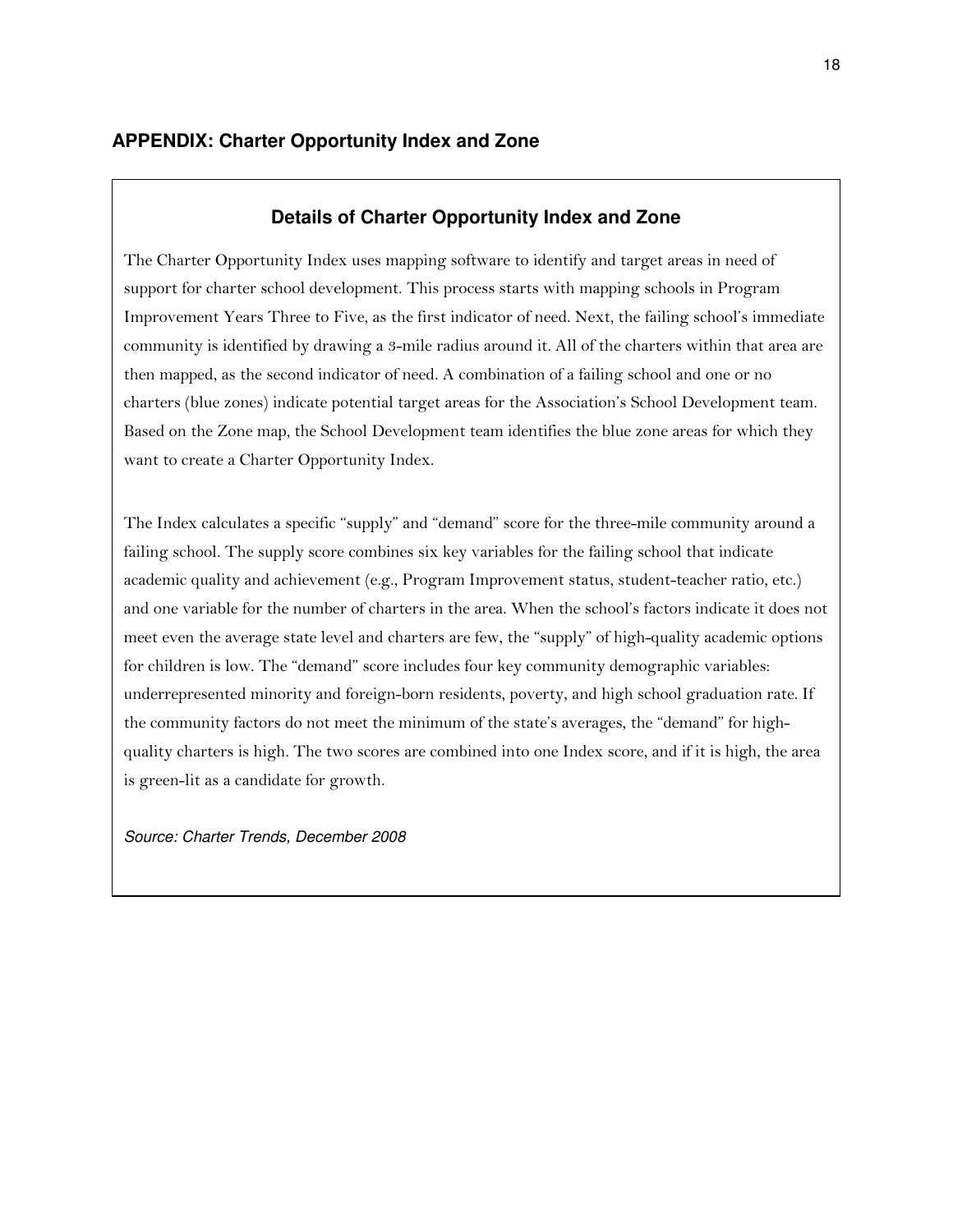### **Details of Charter Opportunity Index and Zone**

The Charter Opportunity Index uses mapping software to identify and target areas in need of support for charter school development. This process starts with mapping schools in Program Improvement Years Three to Five, as the first indicator of need. Next, the failing school's immediate community is identified by drawing a 3-mile radius around it. All of the charters within that area are then mapped, as the second indicator of need. A combination of a failing school and one or no charters (blue zones) indicate potential target areas for the Association's School Development team. Based on the Zone map, the School Development team identifies the blue zone areas for which they want to create a Charter Opportunity Index.

The Index calculates a specific "supply" and "demand" score for the three-mile community around a failing school. The supply score combines six key variables for the failing school that indicate academic quality and achievement (e.g., Program Improvement status, student-teacher ratio, etc.) and one variable for the number of charters in the area. When the school's factors indicate it does not meet even the average state level and charters are few, the "supply" of high-quality academic options for children is low. The "demand" score includes four key community demographic variables: underrepresented minority and foreign-born residents, poverty, and high school graduation rate. If the community factors do not meet the minimum of the state's averages, the "demand" for highquality charters is high. The two scores are combined into one Index score, and if it is high, the area is green-lit as a candidate for growth.

Source: Charter Trends, December 2008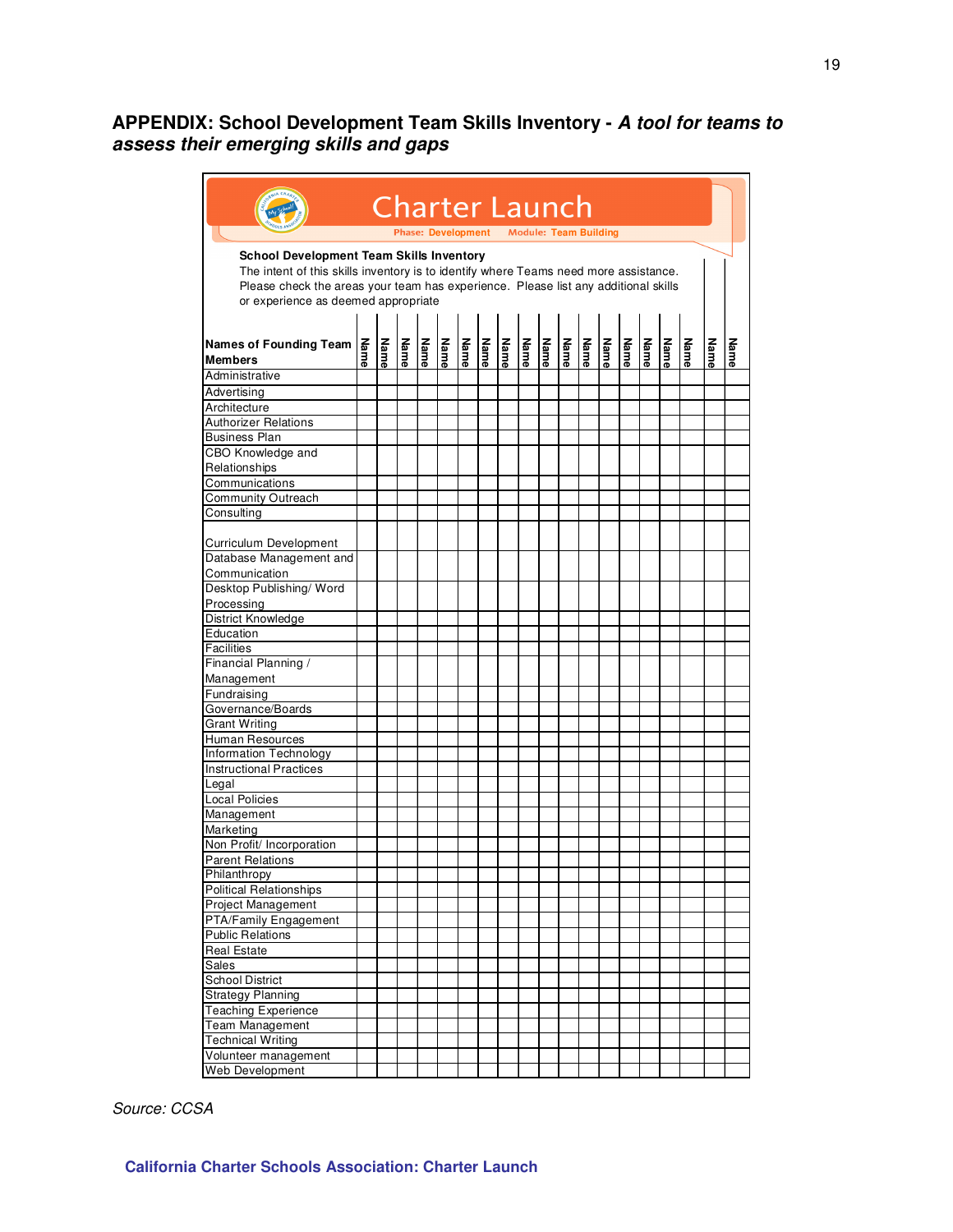### **APPENDIX: School Development Team Skills Inventory - A tool for teams to assess their emerging skills and gaps**

|                                                                                                                                                                                                                                                                      |      |      |      |      |      | <b>Charter Launch</b>                    |      |      |      |             |      |      |      |      |      |      |      |             |      |
|----------------------------------------------------------------------------------------------------------------------------------------------------------------------------------------------------------------------------------------------------------------------|------|------|------|------|------|------------------------------------------|------|------|------|-------------|------|------|------|------|------|------|------|-------------|------|
|                                                                                                                                                                                                                                                                      |      |      |      |      |      | Phase: Development Module: Team Building |      |      |      |             |      |      |      |      |      |      |      |             |      |
| <b>School Development Team Skills Inventory</b><br>The intent of this skills inventory is to identify where Teams need more assistance.<br>Please check the areas your team has experience. Please list any additional skills<br>or experience as deemed appropriate |      |      |      |      |      |                                          |      |      |      |             |      |      |      |      |      |      |      |             |      |
| Names of Founding Team<br><b>Members</b>                                                                                                                                                                                                                             | Name | Name | Name | Name | Name | Name                                     | Name | Name | Name | <b>Name</b> | Name | Name | Name | Name | Name | Name | Name | <b>Name</b> | Name |
| Administrative                                                                                                                                                                                                                                                       |      |      |      |      |      |                                          |      |      |      |             |      |      |      |      |      |      |      |             |      |
| Advertising                                                                                                                                                                                                                                                          |      |      |      |      |      |                                          |      |      |      |             |      |      |      |      |      |      |      |             |      |
| Architecture                                                                                                                                                                                                                                                         |      |      |      |      |      |                                          |      |      |      |             |      |      |      |      |      |      |      |             |      |
| <b>Authorizer Relations</b>                                                                                                                                                                                                                                          |      |      |      |      |      |                                          |      |      |      |             |      |      |      |      |      |      |      |             |      |
| <b>Business Plan</b>                                                                                                                                                                                                                                                 |      |      |      |      |      |                                          |      |      |      |             |      |      |      |      |      |      |      |             |      |
| CBO Knowledge and                                                                                                                                                                                                                                                    |      |      |      |      |      |                                          |      |      |      |             |      |      |      |      |      |      |      |             |      |
| Relationships                                                                                                                                                                                                                                                        |      |      |      |      |      |                                          |      |      |      |             |      |      |      |      |      |      |      |             |      |
| Communications                                                                                                                                                                                                                                                       |      |      |      |      |      |                                          |      |      |      |             |      |      |      |      |      |      |      |             |      |
| Community Outreach                                                                                                                                                                                                                                                   |      |      |      |      |      |                                          |      |      |      |             |      |      |      |      |      |      |      |             |      |
| Consulting                                                                                                                                                                                                                                                           |      |      |      |      |      |                                          |      |      |      |             |      |      |      |      |      |      |      |             |      |
| Curriculum Development                                                                                                                                                                                                                                               |      |      |      |      |      |                                          |      |      |      |             |      |      |      |      |      |      |      |             |      |
| Database Management and<br>Communication                                                                                                                                                                                                                             |      |      |      |      |      |                                          |      |      |      |             |      |      |      |      |      |      |      |             |      |
| Desktop Publishing/Word                                                                                                                                                                                                                                              |      |      |      |      |      |                                          |      |      |      |             |      |      |      |      |      |      |      |             |      |
| Processing                                                                                                                                                                                                                                                           |      |      |      |      |      |                                          |      |      |      |             |      |      |      |      |      |      |      |             |      |
| District Knowledge                                                                                                                                                                                                                                                   |      |      |      |      |      |                                          |      |      |      |             |      |      |      |      |      |      |      |             |      |
| Education                                                                                                                                                                                                                                                            |      |      |      |      |      |                                          |      |      |      |             |      |      |      |      |      |      |      |             |      |
| Facilities                                                                                                                                                                                                                                                           |      |      |      |      |      |                                          |      |      |      |             |      |      |      |      |      |      |      |             |      |
| Financial Planning /                                                                                                                                                                                                                                                 |      |      |      |      |      |                                          |      |      |      |             |      |      |      |      |      |      |      |             |      |
| Management                                                                                                                                                                                                                                                           |      |      |      |      |      |                                          |      |      |      |             |      |      |      |      |      |      |      |             |      |
| Fundraising                                                                                                                                                                                                                                                          |      |      |      |      |      |                                          |      |      |      |             |      |      |      |      |      |      |      |             |      |
| Governance/Boards                                                                                                                                                                                                                                                    |      |      |      |      |      |                                          |      |      |      |             |      |      |      |      |      |      |      |             |      |
| <b>Grant Writing</b>                                                                                                                                                                                                                                                 |      |      |      |      |      |                                          |      |      |      |             |      |      |      |      |      |      |      |             |      |
| Human Resources                                                                                                                                                                                                                                                      |      |      |      |      |      |                                          |      |      |      |             |      |      |      |      |      |      |      |             |      |
| Information Technology                                                                                                                                                                                                                                               |      |      |      |      |      |                                          |      |      |      |             |      |      |      |      |      |      |      |             |      |
| <b>Instructional Practices</b>                                                                                                                                                                                                                                       |      |      |      |      |      |                                          |      |      |      |             |      |      |      |      |      |      |      |             |      |
| Legal                                                                                                                                                                                                                                                                |      |      |      |      |      |                                          |      |      |      |             |      |      |      |      |      |      |      |             |      |
| <b>Local Policies</b>                                                                                                                                                                                                                                                |      |      |      |      |      |                                          |      |      |      |             |      |      |      |      |      |      |      |             |      |
| Management                                                                                                                                                                                                                                                           |      |      |      |      |      |                                          |      |      |      |             |      |      |      |      |      |      |      |             |      |
| Marketing                                                                                                                                                                                                                                                            |      |      |      |      |      |                                          |      |      |      |             |      |      |      |      |      |      |      |             |      |
| Non Profit/ Incorporation                                                                                                                                                                                                                                            |      |      |      |      |      |                                          |      |      |      |             |      |      |      |      |      |      |      |             |      |
| <b>Parent Relations</b>                                                                                                                                                                                                                                              |      |      |      |      |      |                                          |      |      |      |             |      |      |      |      |      |      |      |             |      |
| Philanthropy                                                                                                                                                                                                                                                         |      |      |      |      |      |                                          |      |      |      |             |      |      |      |      |      |      |      |             |      |
| <b>Political Relationships</b>                                                                                                                                                                                                                                       |      |      |      |      |      |                                          |      |      |      |             |      |      |      |      |      |      |      |             |      |
| Project Management                                                                                                                                                                                                                                                   |      |      |      |      |      |                                          |      |      |      |             |      |      |      |      |      |      |      |             |      |
| PTA/Family Engagement                                                                                                                                                                                                                                                |      |      |      |      |      |                                          |      |      |      |             |      |      |      |      |      |      |      |             |      |
| <b>Public Relations</b>                                                                                                                                                                                                                                              |      |      |      |      |      |                                          |      |      |      |             |      |      |      |      |      |      |      |             |      |
| <b>Real Estate</b>                                                                                                                                                                                                                                                   |      |      |      |      |      |                                          |      |      |      |             |      |      |      |      |      |      |      |             |      |
| Sales                                                                                                                                                                                                                                                                |      |      |      |      |      |                                          |      |      |      |             |      |      |      |      |      |      |      |             |      |
| School District                                                                                                                                                                                                                                                      |      |      |      |      |      |                                          |      |      |      |             |      |      |      |      |      |      |      |             |      |
| <b>Strategy Planning</b>                                                                                                                                                                                                                                             |      |      |      |      |      |                                          |      |      |      |             |      |      |      |      |      |      |      |             |      |
| <b>Teaching Experience</b>                                                                                                                                                                                                                                           |      |      |      |      |      |                                          |      |      |      |             |      |      |      |      |      |      |      |             |      |
| Team Management                                                                                                                                                                                                                                                      |      |      |      |      |      |                                          |      |      |      |             |      |      |      |      |      |      |      |             |      |
| <b>Technical Writing</b>                                                                                                                                                                                                                                             |      |      |      |      |      |                                          |      |      |      |             |      |      |      |      |      |      |      |             |      |
| Volunteer management                                                                                                                                                                                                                                                 |      |      |      |      |      |                                          |      |      |      |             |      |      |      |      |      |      |      |             |      |
| Web Development                                                                                                                                                                                                                                                      |      |      |      |      |      |                                          |      |      |      |             |      |      |      |      |      |      |      |             |      |
|                                                                                                                                                                                                                                                                      |      |      |      |      |      |                                          |      |      |      |             |      |      |      |      |      |      |      |             |      |

Source: CCSA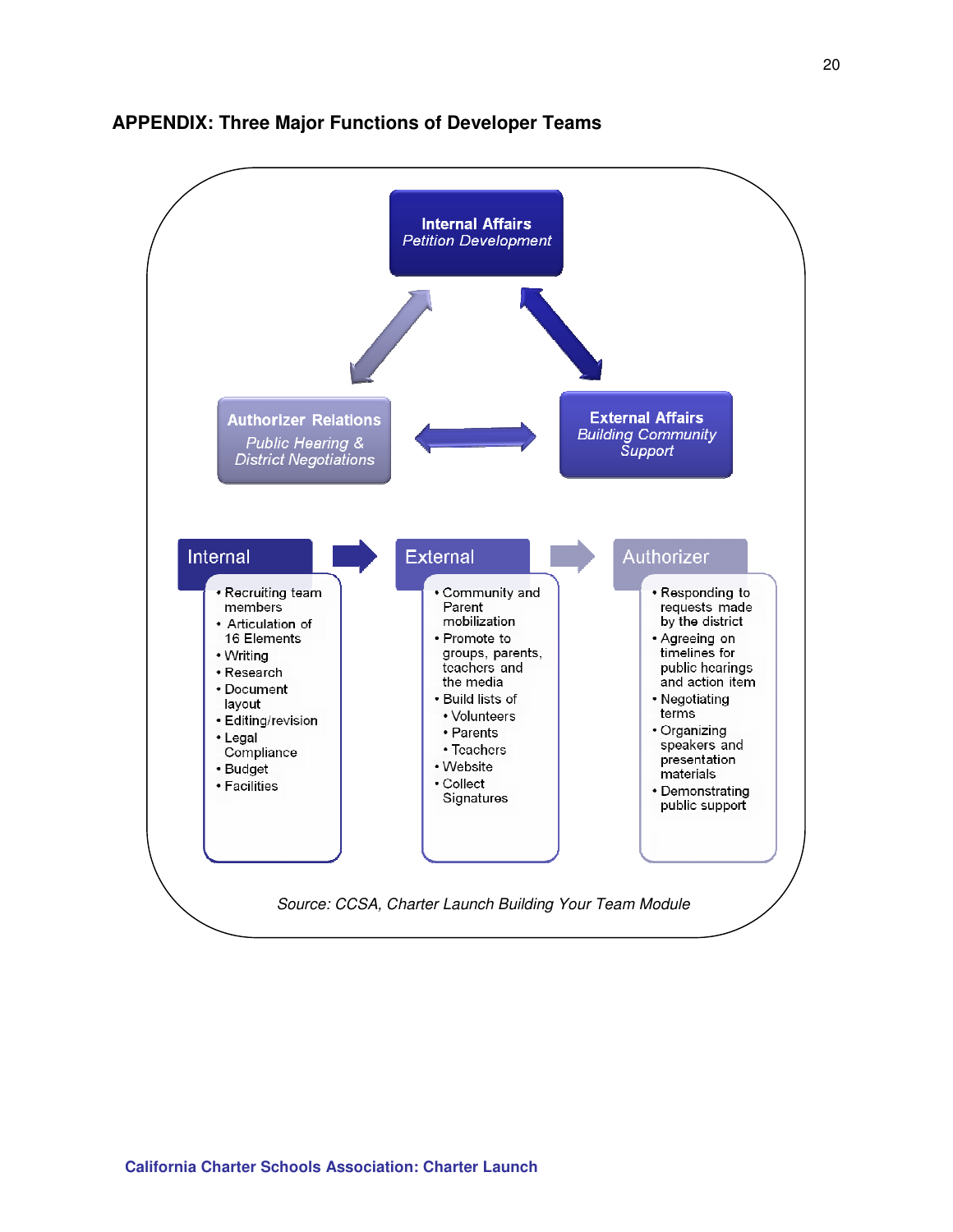

### **APPENDIX: Three Major Functions of Developer Teams**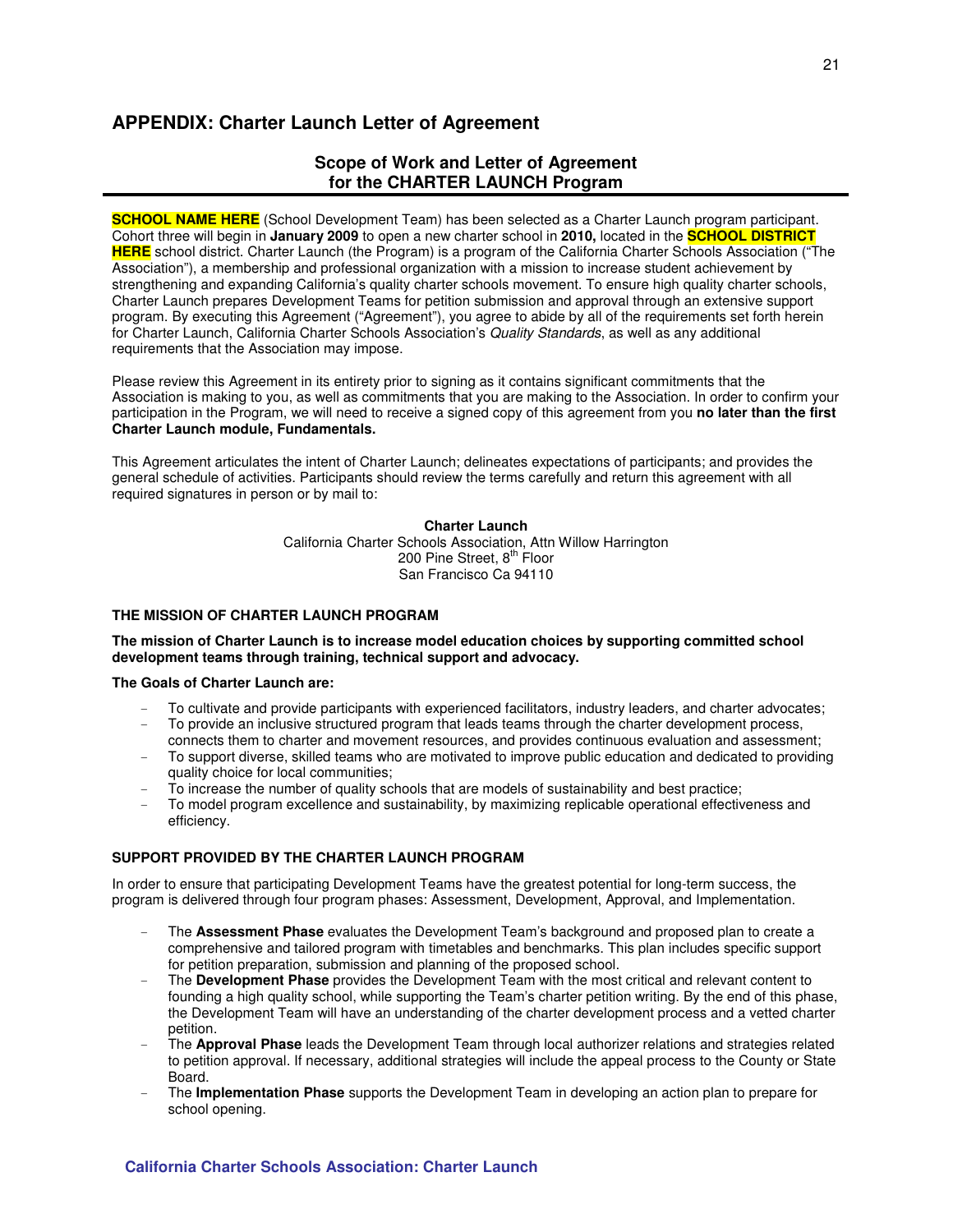### **APPENDIX: Charter Launch Letter of Agreement**

### **Scope of Work and Letter of Agreement for the CHARTER LAUNCH Program**

**SCHOOL NAME HERE** (School Development Team) has been selected as a Charter Launch program participant. Cohort three will begin in **January 2009** to open a new charter school in **2010,** located in the **SCHOOL DISTRICT HERE** school district. Charter Launch (the Program) is a program of the California Charter Schools Association ("The Association"), a membership and professional organization with a mission to increase student achievement by strengthening and expanding California's quality charter schools movement. To ensure high quality charter schools, Charter Launch prepares Development Teams for petition submission and approval through an extensive support program. By executing this Agreement ("Agreement"), you agree to abide by all of the requirements set forth herein for Charter Launch, California Charter Schools Association's Quality Standards, as well as any additional requirements that the Association may impose.

Please review this Agreement in its entirety prior to signing as it contains significant commitments that the Association is making to you, as well as commitments that you are making to the Association. In order to confirm your participation in the Program, we will need to receive a signed copy of this agreement from you **no later than the first Charter Launch module, Fundamentals.** 

This Agreement articulates the intent of Charter Launch; delineates expectations of participants; and provides the general schedule of activities. Participants should review the terms carefully and return this agreement with all required signatures in person or by mail to:

#### **Charter Launch**

California Charter Schools Association, Attn Willow Harrington 200 Pine Street, 8<sup>th</sup> Floor San Francisco Ca 94110

#### **THE MISSION OF CHARTER LAUNCH PROGRAM**

#### **The mission of Charter Launch is to increase model education choices by supporting committed school development teams through training, technical support and advocacy.**

#### **The Goals of Charter Launch are:**

- To cultivate and provide participants with experienced facilitators, industry leaders, and charter advocates;
- To provide an inclusive structured program that leads teams through the charter development process, connects them to charter and movement resources, and provides continuous evaluation and assessment;
- To support diverse, skilled teams who are motivated to improve public education and dedicated to providing quality choice for local communities;
- To increase the number of quality schools that are models of sustainability and best practice;
- To model program excellence and sustainability, by maximizing replicable operational effectiveness and efficiency.

#### **SUPPORT PROVIDED BY THE CHARTER LAUNCH PROGRAM**

In order to ensure that participating Development Teams have the greatest potential for long-term success, the program is delivered through four program phases: Assessment, Development, Approval, and Implementation.

- The **Assessment Phase** evaluates the Development Team's background and proposed plan to create a comprehensive and tailored program with timetables and benchmarks. This plan includes specific support for petition preparation, submission and planning of the proposed school.
- The **Development Phase** provides the Development Team with the most critical and relevant content to founding a high quality school, while supporting the Team's charter petition writing. By the end of this phase, the Development Team will have an understanding of the charter development process and a vetted charter petition.
- The **Approval Phase** leads the Development Team through local authorizer relations and strategies related to petition approval. If necessary, additional strategies will include the appeal process to the County or State Board.
- The **Implementation Phase** supports the Development Team in developing an action plan to prepare for school opening.

#### **California Charter Schools Association: Charter Launch**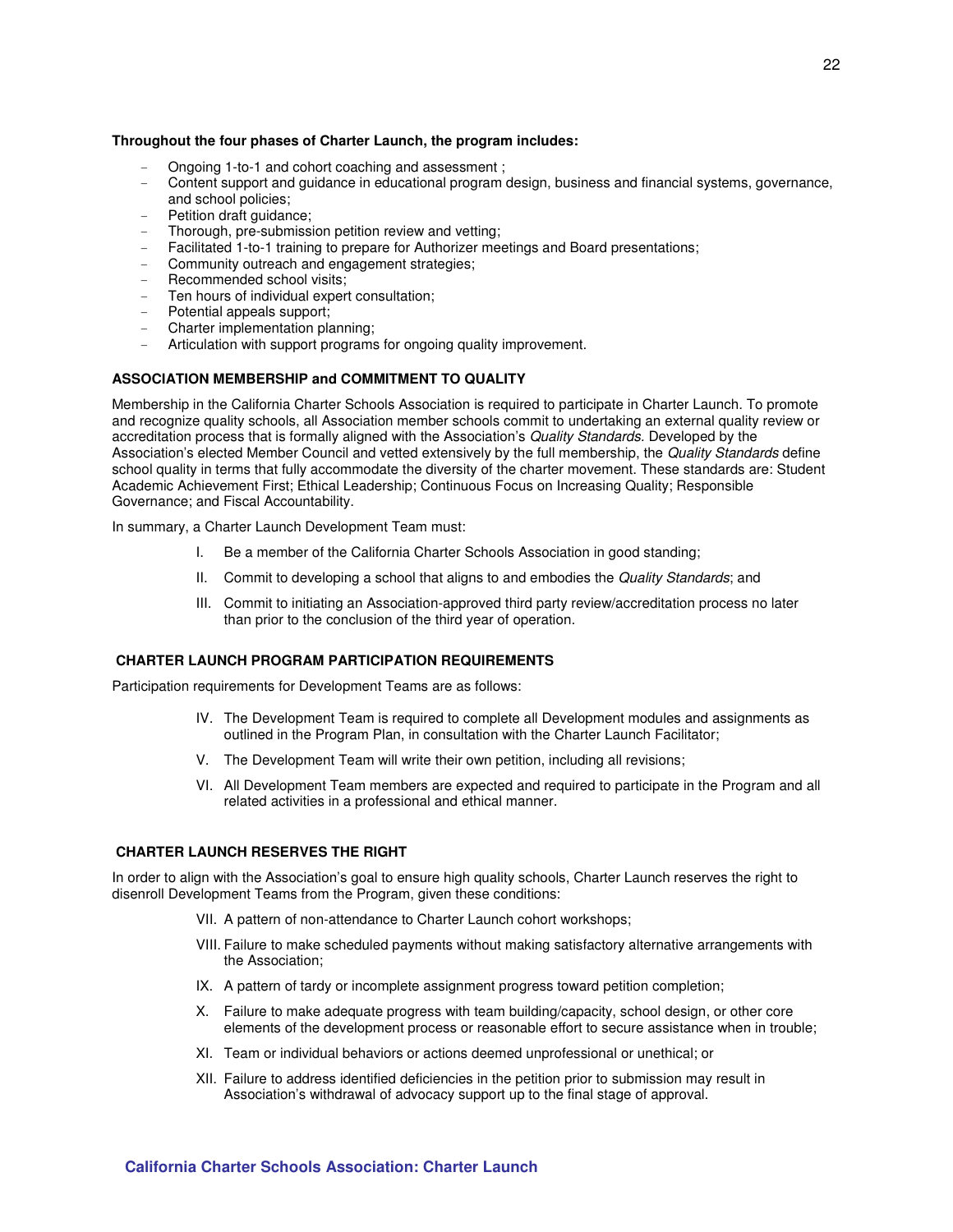#### **Throughout the four phases of Charter Launch, the program includes:**

- Ongoing 1-to-1 and cohort coaching and assessment ;
- Content support and guidance in educational program design, business and financial systems, governance, and school policies;
- Petition draft guidance;
- Thorough, pre-submission petition review and vetting;
- Facilitated 1-to-1 training to prepare for Authorizer meetings and Board presentations;
- Community outreach and engagement strategies;
- Recommended school visits:
- Ten hours of individual expert consultation:
- Potential appeals support;
- Charter implementation planning;
- Articulation with support programs for ongoing quality improvement.

#### **ASSOCIATION MEMBERSHIP and COMMITMENT TO QUALITY**

Membership in the California Charter Schools Association is required to participate in Charter Launch. To promote and recognize quality schools, all Association member schools commit to undertaking an external quality review or accreditation process that is formally aligned with the Association's Quality Standards. Developed by the Association's elected Member Council and vetted extensively by the full membership, the Quality Standards define school quality in terms that fully accommodate the diversity of the charter movement. These standards are: Student Academic Achievement First; Ethical Leadership; Continuous Focus on Increasing Quality; Responsible Governance; and Fiscal Accountability.

In summary, a Charter Launch Development Team must:

- I. Be a member of the California Charter Schools Association in good standing;
- II. Commit to developing a school that aligns to and embodies the Quality Standards; and
- III. Commit to initiating an Association-approved third party review/accreditation process no later than prior to the conclusion of the third year of operation.

#### **CHARTER LAUNCH PROGRAM PARTICIPATION REQUIREMENTS**

Participation requirements for Development Teams are as follows:

- IV. The Development Team is required to complete all Development modules and assignments as outlined in the Program Plan, in consultation with the Charter Launch Facilitator;
- V. The Development Team will write their own petition, including all revisions;
- VI. All Development Team members are expected and required to participate in the Program and all related activities in a professional and ethical manner.

#### **CHARTER LAUNCH RESERVES THE RIGHT**

In order to align with the Association's goal to ensure high quality schools, Charter Launch reserves the right to disenroll Development Teams from the Program, given these conditions:

- VII. A pattern of non-attendance to Charter Launch cohort workshops;
- VIII. Failure to make scheduled payments without making satisfactory alternative arrangements with the Association;
- IX. A pattern of tardy or incomplete assignment progress toward petition completion;
- X. Failure to make adequate progress with team building/capacity, school design, or other core elements of the development process or reasonable effort to secure assistance when in trouble;
- XI. Team or individual behaviors or actions deemed unprofessional or unethical; or
- XII. Failure to address identified deficiencies in the petition prior to submission may result in Association's withdrawal of advocacy support up to the final stage of approval.

#### **California Charter Schools Association: Charter Launch**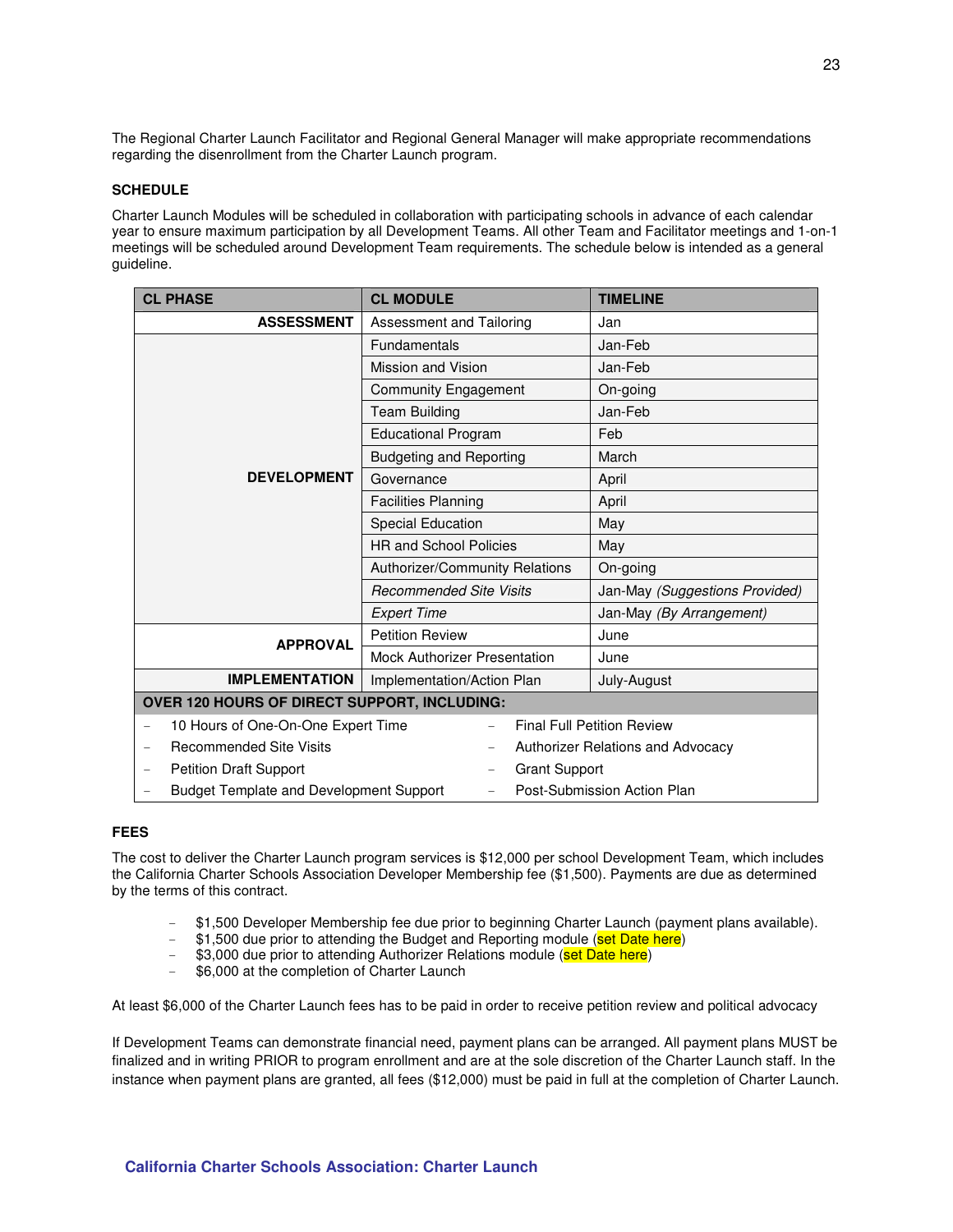The Regional Charter Launch Facilitator and Regional General Manager will make appropriate recommendations regarding the disenrollment from the Charter Launch program.

#### **SCHEDULE**

Charter Launch Modules will be scheduled in collaboration with participating schools in advance of each calendar year to ensure maximum participation by all Development Teams. All other Team and Facilitator meetings and 1-on-1 meetings will be scheduled around Development Team requirements. The schedule below is intended as a general guideline.

| <b>CL PHASE</b>                                                | <b>CL MODULE</b>                      | <b>TIMELINE</b>                   |  |  |
|----------------------------------------------------------------|---------------------------------------|-----------------------------------|--|--|
| <b>ASSESSMENT</b>                                              | Assessment and Tailoring              | Jan                               |  |  |
|                                                                | <b>Fundamentals</b>                   | Jan-Feb                           |  |  |
|                                                                | Mission and Vision                    | Jan-Feb                           |  |  |
|                                                                | <b>Community Engagement</b>           | On-going                          |  |  |
|                                                                | <b>Team Building</b>                  | Jan-Feb                           |  |  |
|                                                                | <b>Educational Program</b>            | Feb                               |  |  |
|                                                                | <b>Budgeting and Reporting</b>        | March                             |  |  |
| <b>DEVELOPMENT</b>                                             | Governance                            | April                             |  |  |
|                                                                | <b>Facilities Planning</b>            | April                             |  |  |
|                                                                | Special Education                     | May                               |  |  |
|                                                                | <b>HR and School Policies</b>         | May                               |  |  |
|                                                                | <b>Authorizer/Community Relations</b> | On-going                          |  |  |
|                                                                | <b>Recommended Site Visits</b>        | Jan-May (Suggestions Provided)    |  |  |
|                                                                | <b>Expert Time</b>                    | Jan-May (By Arrangement)          |  |  |
| <b>APPROVAL</b>                                                | <b>Petition Review</b>                | June                              |  |  |
|                                                                | <b>Mock Authorizer Presentation</b>   | June                              |  |  |
| <b>IMPLEMENTATION</b>                                          | Implementation/Action Plan            | July-August                       |  |  |
| OVER 120 HOURS OF DIRECT SUPPORT, INCLUDING:                   |                                       |                                   |  |  |
| 10 Hours of One-On-One Expert Time<br>$\overline{\phantom{0}}$ |                                       | <b>Final Full Petition Review</b> |  |  |
| <b>Recommended Site Visits</b>                                 |                                       | Authorizer Relations and Advocacy |  |  |
| <b>Petition Draft Support</b>                                  | <b>Grant Support</b>                  |                                   |  |  |
| <b>Budget Template and Development Support</b>                 | $\overline{\phantom{0}}$              | Post-Submission Action Plan       |  |  |

#### **FEES**

The cost to deliver the Charter Launch program services is \$12,000 per school Development Team, which includes the California Charter Schools Association Developer Membership fee (\$1,500). Payments are due as determined by the terms of this contract.

- \$1,500 Developer Membership fee due prior to beginning Charter Launch (payment plans available).
- \$1,500 due prior to attending the Budget and Reporting module (set Date here)
- \$3,000 due prior to attending Authorizer Relations module (set Date here)
- \$6,000 at the completion of Charter Launch

At least \$6,000 of the Charter Launch fees has to be paid in order to receive petition review and political advocacy

If Development Teams can demonstrate financial need, payment plans can be arranged. All payment plans MUST be finalized and in writing PRIOR to program enrollment and are at the sole discretion of the Charter Launch staff. In the instance when payment plans are granted, all fees (\$12,000) must be paid in full at the completion of Charter Launch.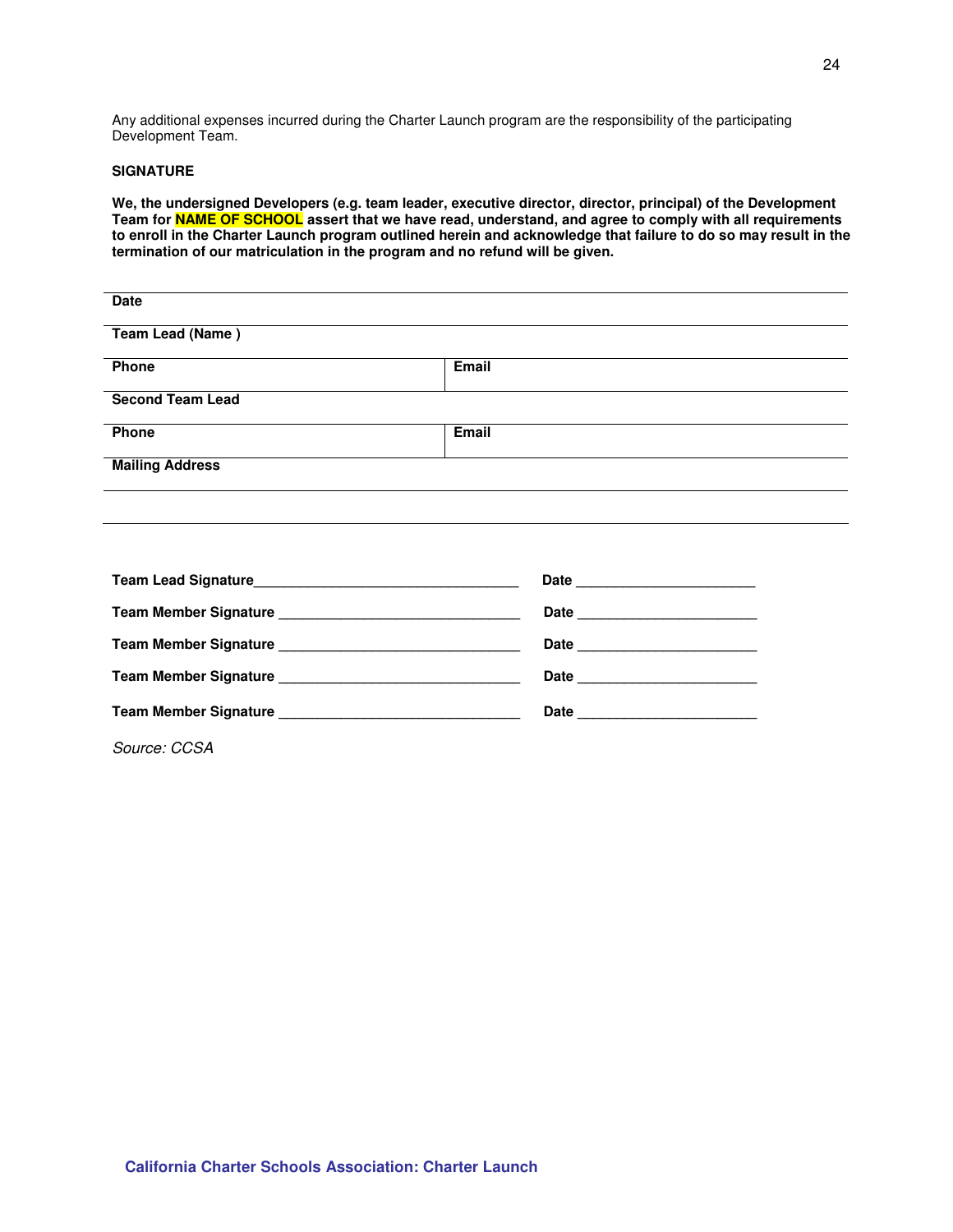Any additional expenses incurred during the Charter Launch program are the responsibility of the participating Development Team.

#### **SIGNATURE**

**We, the undersigned Developers (e.g. team leader, executive director, director, principal) of the Development Team for NAME OF SCHOOL assert that we have read, understand, and agree to comply with all requirements to enroll in the Charter Launch program outlined herein and acknowledge that failure to do so may result in the termination of our matriculation in the program and no refund will be given.** 

| Date                    |       |  |
|-------------------------|-------|--|
| Team Lead (Name)        |       |  |
| Phone                   | Email |  |
| <b>Second Team Lead</b> |       |  |
| Phone                   | Email |  |
| <b>Mailing Address</b>  |       |  |
|                         |       |  |

|              | Date |
|--------------|------|
|              |      |
|              |      |
|              |      |
| Source: CCSA |      |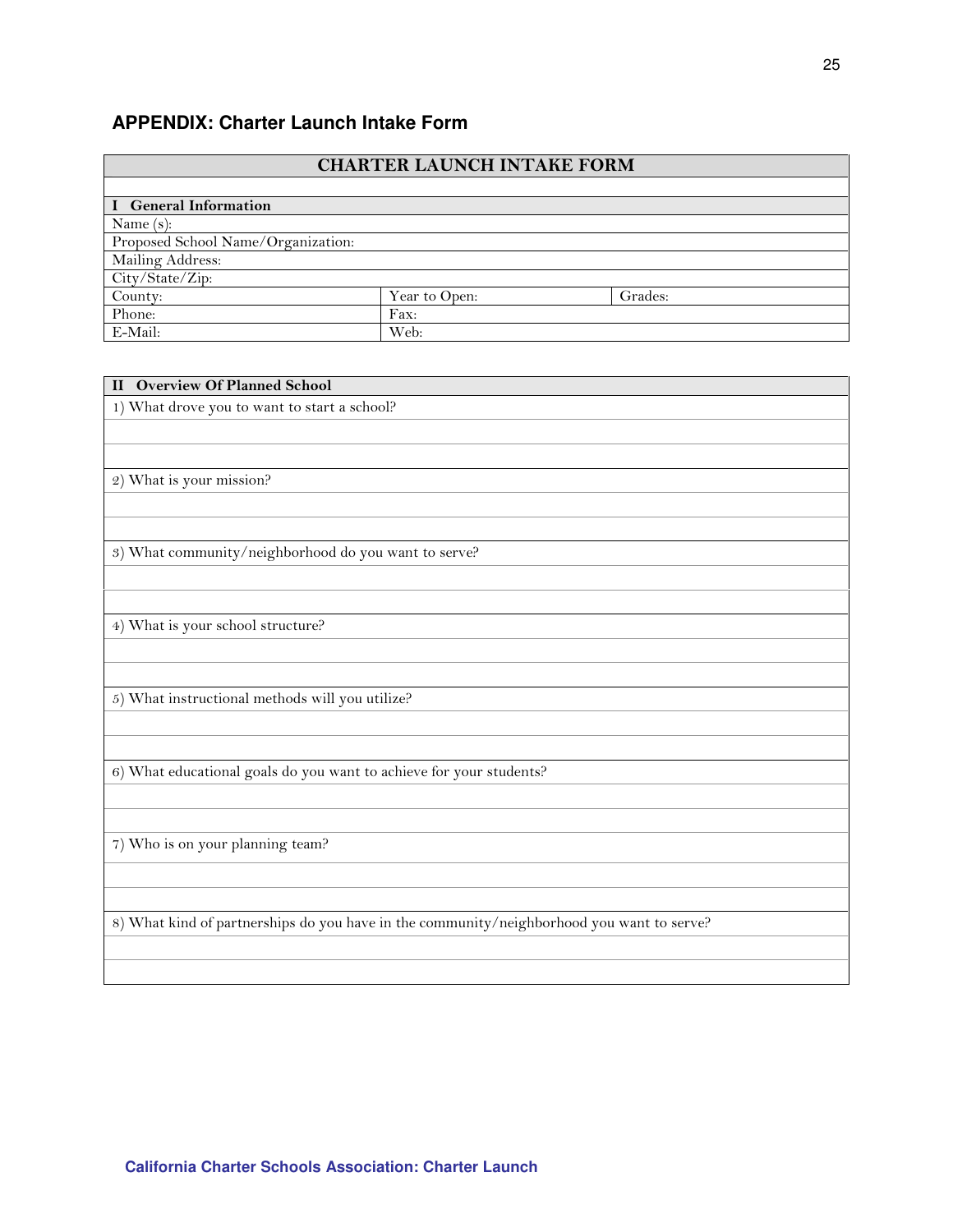# **APPENDIX: Charter Launch Intake Form**

|                                    | <b>CHARTER LAUNCH INTAKE FORM</b> |         |  |  |  |  |  |
|------------------------------------|-----------------------------------|---------|--|--|--|--|--|
|                                    |                                   |         |  |  |  |  |  |
| I General Information              |                                   |         |  |  |  |  |  |
| Name $(s)$ :                       |                                   |         |  |  |  |  |  |
| Proposed School Name/Organization: |                                   |         |  |  |  |  |  |
| Mailing Address:                   |                                   |         |  |  |  |  |  |
| City/State/Zip:                    |                                   |         |  |  |  |  |  |
| County:                            | Year to Open:                     | Grades: |  |  |  |  |  |
| Phone:                             | Fax:                              |         |  |  |  |  |  |
| E-Mail:                            | Web:                              |         |  |  |  |  |  |

| <b>II</b> Overview Of Planned School                                                      |
|-------------------------------------------------------------------------------------------|
| 1) What drove you to want to start a school?                                              |
|                                                                                           |
|                                                                                           |
| 2) What is your mission?                                                                  |
|                                                                                           |
|                                                                                           |
| 3) What community/neighborhood do you want to serve?                                      |
|                                                                                           |
|                                                                                           |
| 4) What is your school structure?                                                         |
|                                                                                           |
|                                                                                           |
| 5) What instructional methods will you utilize?                                           |
|                                                                                           |
|                                                                                           |
| 6) What educational goals do you want to achieve for your students?                       |
|                                                                                           |
|                                                                                           |
| 7) Who is on your planning team?                                                          |
|                                                                                           |
|                                                                                           |
| 8) What kind of partnerships do you have in the community/neighborhood you want to serve? |
|                                                                                           |
|                                                                                           |
|                                                                                           |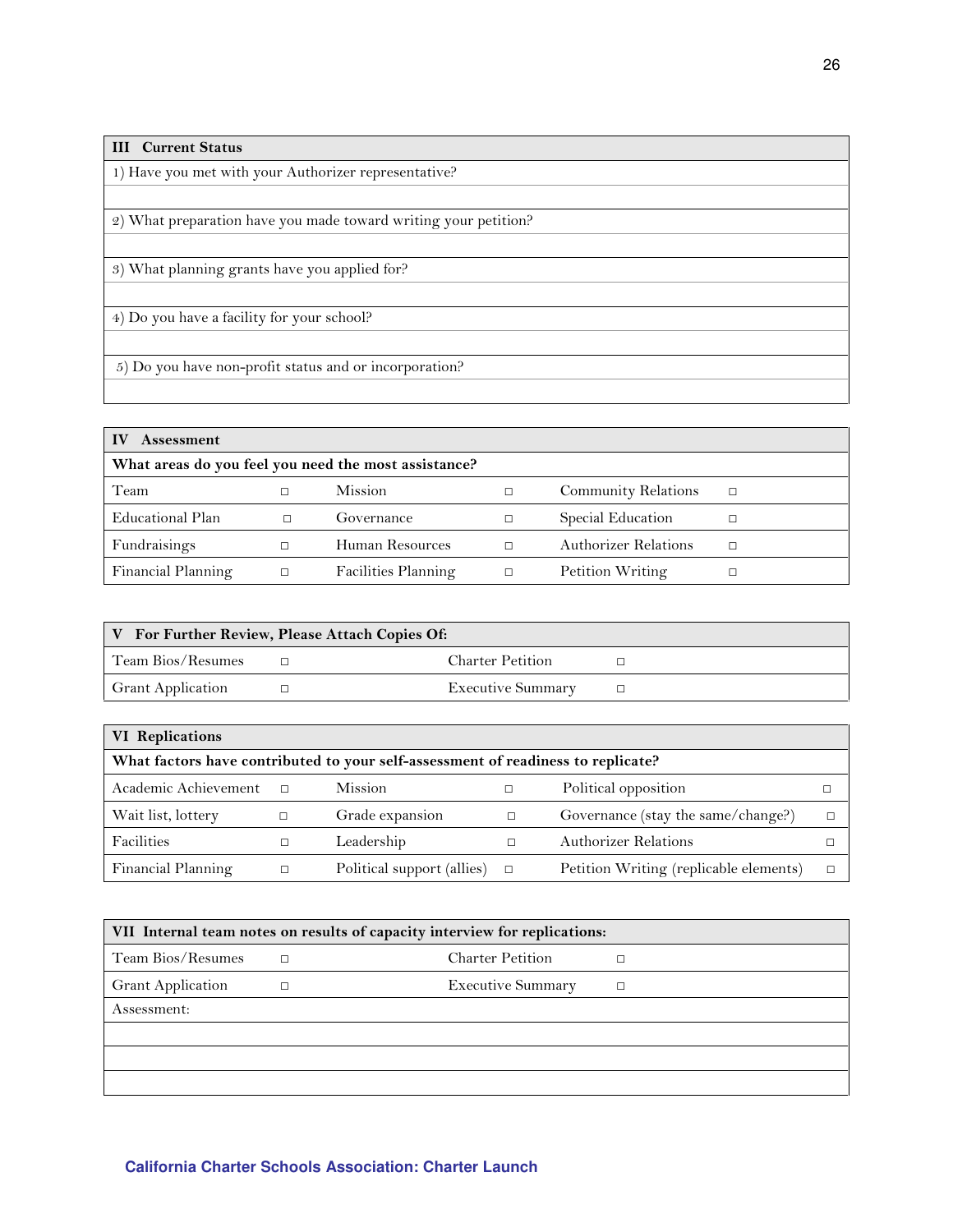| <b>III</b> Current Status                                       |
|-----------------------------------------------------------------|
| 1) Have you met with your Authorizer representative?            |
|                                                                 |
| 2) What preparation have you made toward writing your petition? |
|                                                                 |
| 3) What planning grants have you applied for?                   |
|                                                                 |
| 4) Do you have a facility for your school?                      |
|                                                                 |
| 5) Do you have non-profit status and or incorporation?          |
|                                                                 |

| <b>Assessment</b>                                    |   |                     |        |                            |  |  |
|------------------------------------------------------|---|---------------------|--------|----------------------------|--|--|
| What areas do you feel you need the most assistance? |   |                     |        |                            |  |  |
| Team                                                 |   | <b>Mission</b>      | П      | <b>Community Relations</b> |  |  |
| Educational Plan                                     |   | Governance          | п      | Special Education          |  |  |
| Fundraisings                                         |   | Human Resources     | П      | Authorizer Relations       |  |  |
| Financial Planning                                   | П | Facilities Planning | $\Box$ | Petition Writing           |  |  |

|                          | V For Further Review, Please Attach Copies Of: |                          |  |
|--------------------------|------------------------------------------------|--------------------------|--|
| Team Bios/Resumes        |                                                | <b>Charter Petition</b>  |  |
| <b>Grant Application</b> |                                                | <b>Executive Summary</b> |  |

| VI Replications                                                                  |        |                            |        |                                        |  |  |  |  |
|----------------------------------------------------------------------------------|--------|----------------------------|--------|----------------------------------------|--|--|--|--|
| What factors have contributed to your self-assessment of readiness to replicate? |        |                            |        |                                        |  |  |  |  |
| Academic Achievement                                                             | $\Box$ | <b>Mission</b>             |        | Political opposition                   |  |  |  |  |
| Wait list, lottery                                                               |        | Grade expansion            |        | Governance (stay the same/change?)     |  |  |  |  |
| Facilities                                                                       |        | Leadership                 |        | <b>Authorizer Relations</b>            |  |  |  |  |
| Financial Planning                                                               | □      | Political support (allies) | $\Box$ | Petition Writing (replicable elements) |  |  |  |  |

| VII Internal team notes on results of capacity interview for replications: |  |                          |  |  |  |
|----------------------------------------------------------------------------|--|--------------------------|--|--|--|
| Team Bios/Resumes                                                          |  | <b>Charter Petition</b>  |  |  |  |
| <b>Grant Application</b>                                                   |  | <b>Executive Summary</b> |  |  |  |
| Assessment:                                                                |  |                          |  |  |  |
|                                                                            |  |                          |  |  |  |
|                                                                            |  |                          |  |  |  |
|                                                                            |  |                          |  |  |  |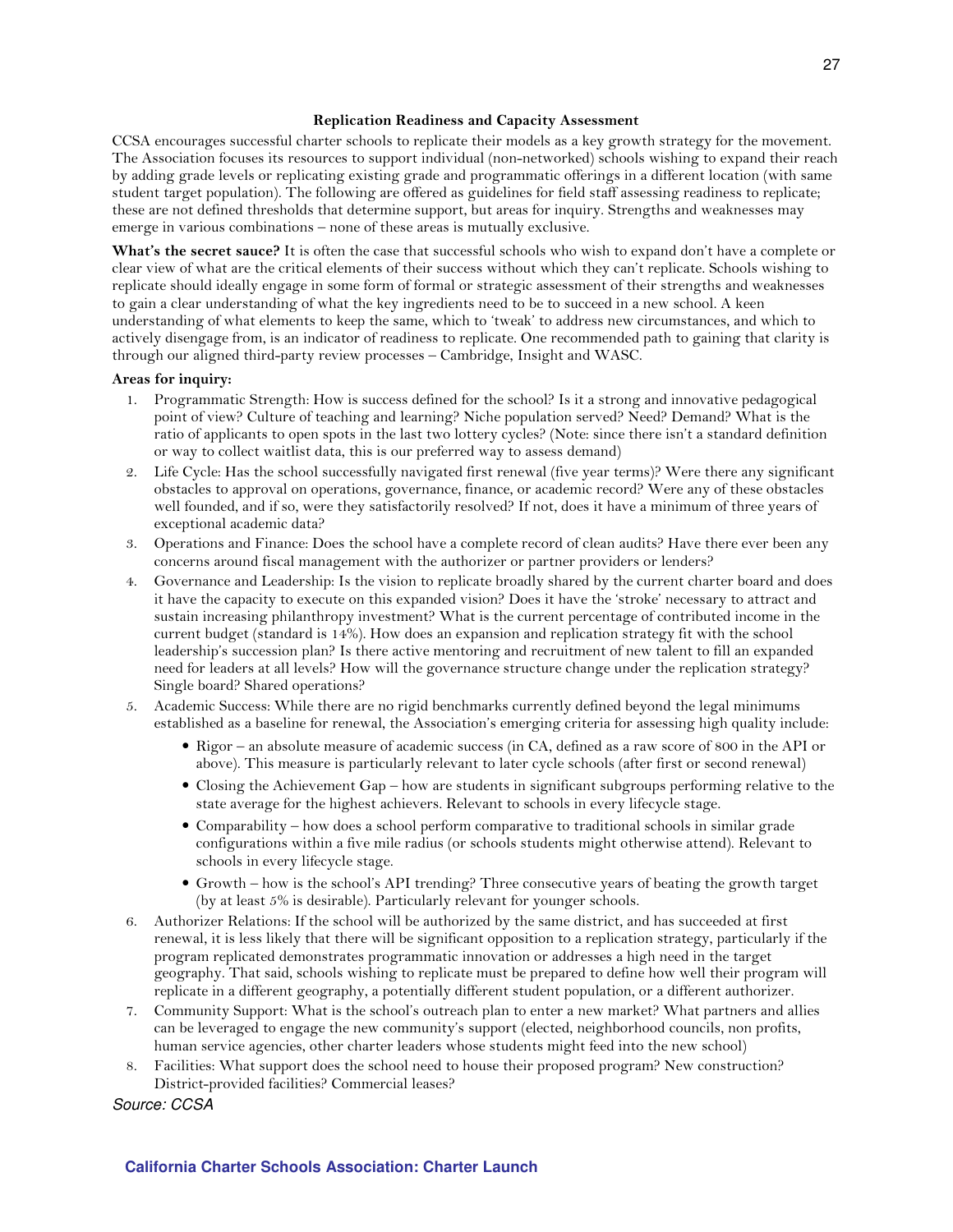#### Replication Readiness and Capacity Assessment

CCSA encourages successful charter schools to replicate their models as a key growth strategy for the movement. The Association focuses its resources to support individual (non-networked) schools wishing to expand their reach by adding grade levels or replicating existing grade and programmatic offerings in a different location (with same student target population). The following are offered as guidelines for field staff assessing readiness to replicate; these are not defined thresholds that determine support, but areas for inquiry. Strengths and weaknesses may emerge in various combinations – none of these areas is mutually exclusive.

What's the secret sauce? It is often the case that successful schools who wish to expand don't have a complete or clear view of what are the critical elements of their success without which they can't replicate. Schools wishing to replicate should ideally engage in some form of formal or strategic assessment of their strengths and weaknesses to gain a clear understanding of what the key ingredients need to be to succeed in a new school. A keen understanding of what elements to keep the same, which to 'tweak' to address new circumstances, and which to actively disengage from, is an indicator of readiness to replicate. One recommended path to gaining that clarity is through our aligned third-party review processes – Cambridge, Insight and WASC.

#### Areas for inquiry:

- 1. Programmatic Strength: How is success defined for the school? Is it a strong and innovative pedagogical point of view? Culture of teaching and learning? Niche population served? Need? Demand? What is the ratio of applicants to open spots in the last two lottery cycles? (Note: since there isn't a standard definition or way to collect waitlist data, this is our preferred way to assess demand)
- 2. Life Cycle: Has the school successfully navigated first renewal (five year terms)? Were there any significant obstacles to approval on operations, governance, finance, or academic record? Were any of these obstacles well founded, and if so, were they satisfactorily resolved? If not, does it have a minimum of three years of exceptional academic data?
- 3. Operations and Finance: Does the school have a complete record of clean audits? Have there ever been any concerns around fiscal management with the authorizer or partner providers or lenders?
- 4. Governance and Leadership: Is the vision to replicate broadly shared by the current charter board and does it have the capacity to execute on this expanded vision? Does it have the 'stroke' necessary to attract and sustain increasing philanthropy investment? What is the current percentage of contributed income in the current budget (standard is 14%). How does an expansion and replication strategy fit with the school leadership's succession plan? Is there active mentoring and recruitment of new talent to fill an expanded need for leaders at all levels? How will the governance structure change under the replication strategy? Single board? Shared operations?
- 5. Academic Success: While there are no rigid benchmarks currently defined beyond the legal minimums established as a baseline for renewal, the Association's emerging criteria for assessing high quality include:
	- Rigor an absolute measure of academic success (in CA, defined as a raw score of 800 in the API or above). This measure is particularly relevant to later cycle schools (after first or second renewal)
	- Closing the Achievement Gap how are students in significant subgroups performing relative to the state average for the highest achievers. Relevant to schools in every lifecycle stage.
	- Comparability how does a school perform comparative to traditional schools in similar grade configurations within a five mile radius (or schools students might otherwise attend). Relevant to schools in every lifecycle stage.
	- Growth how is the school's API trending? Three consecutive years of beating the growth target (by at least 5% is desirable). Particularly relevant for younger schools.
- 6. Authorizer Relations: If the school will be authorized by the same district, and has succeeded at first renewal, it is less likely that there will be significant opposition to a replication strategy, particularly if the program replicated demonstrates programmatic innovation or addresses a high need in the target geography. That said, schools wishing to replicate must be prepared to define how well their program will replicate in a different geography, a potentially different student population, or a different authorizer.
- 7. Community Support: What is the school's outreach plan to enter a new market? What partners and allies can be leveraged to engage the new community's support (elected, neighborhood councils, non profits, human service agencies, other charter leaders whose students might feed into the new school)
- 8. Facilities: What support does the school need to house their proposed program? New construction? District-provided facilities? Commercial leases?

Source: CCSA

#### **California Charter Schools Association: Charter Launch**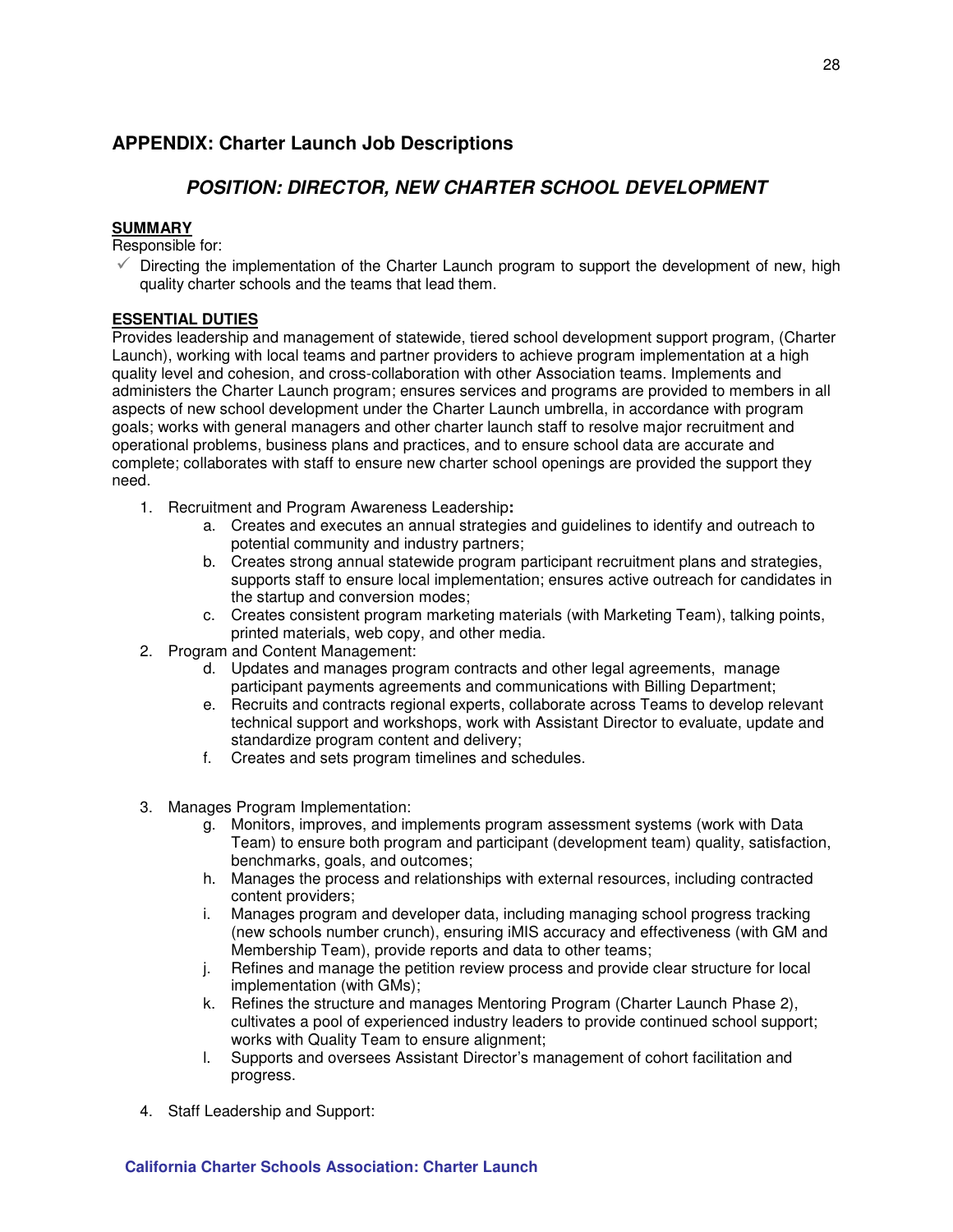# **APPENDIX: Charter Launch Job Descriptions**

# **POSITION: DIRECTOR, NEW CHARTER SCHOOL DEVELOPMENT**

#### **SUMMARY**

Responsible for:

 $\checkmark$  Directing the implementation of the Charter Launch program to support the development of new, high quality charter schools and the teams that lead them.

### **ESSENTIAL DUTIES**

Provides leadership and management of statewide, tiered school development support program, (Charter Launch), working with local teams and partner providers to achieve program implementation at a high quality level and cohesion, and cross-collaboration with other Association teams. Implements and administers the Charter Launch program; ensures services and programs are provided to members in all aspects of new school development under the Charter Launch umbrella, in accordance with program goals; works with general managers and other charter launch staff to resolve major recruitment and operational problems, business plans and practices, and to ensure school data are accurate and complete; collaborates with staff to ensure new charter school openings are provided the support they need.

- 1. Recruitment and Program Awareness Leadership**:** 
	- a. Creates and executes an annual strategies and guidelines to identify and outreach to potential community and industry partners;
	- b. Creates strong annual statewide program participant recruitment plans and strategies, supports staff to ensure local implementation; ensures active outreach for candidates in the startup and conversion modes;
	- c. Creates consistent program marketing materials (with Marketing Team), talking points, printed materials, web copy, and other media.
- 2. Program and Content Management:
	- d. Updates and manages program contracts and other legal agreements, manage participant payments agreements and communications with Billing Department;
	- e. Recruits and contracts regional experts, collaborate across Teams to develop relevant technical support and workshops, work with Assistant Director to evaluate, update and standardize program content and delivery;
	- f. Creates and sets program timelines and schedules.
- 3. Manages Program Implementation:
	- g. Monitors, improves, and implements program assessment systems (work with Data Team) to ensure both program and participant (development team) quality, satisfaction, benchmarks, goals, and outcomes;
	- h. Manages the process and relationships with external resources, including contracted content providers;
	- i. Manages program and developer data, including managing school progress tracking (new schools number crunch), ensuring iMIS accuracy and effectiveness (with GM and Membership Team), provide reports and data to other teams;
	- j. Refines and manage the petition review process and provide clear structure for local implementation (with GMs);
	- k. Refines the structure and manages Mentoring Program (Charter Launch Phase 2), cultivates a pool of experienced industry leaders to provide continued school support; works with Quality Team to ensure alignment;
	- l. Supports and oversees Assistant Director's management of cohort facilitation and progress.
- 4. Staff Leadership and Support: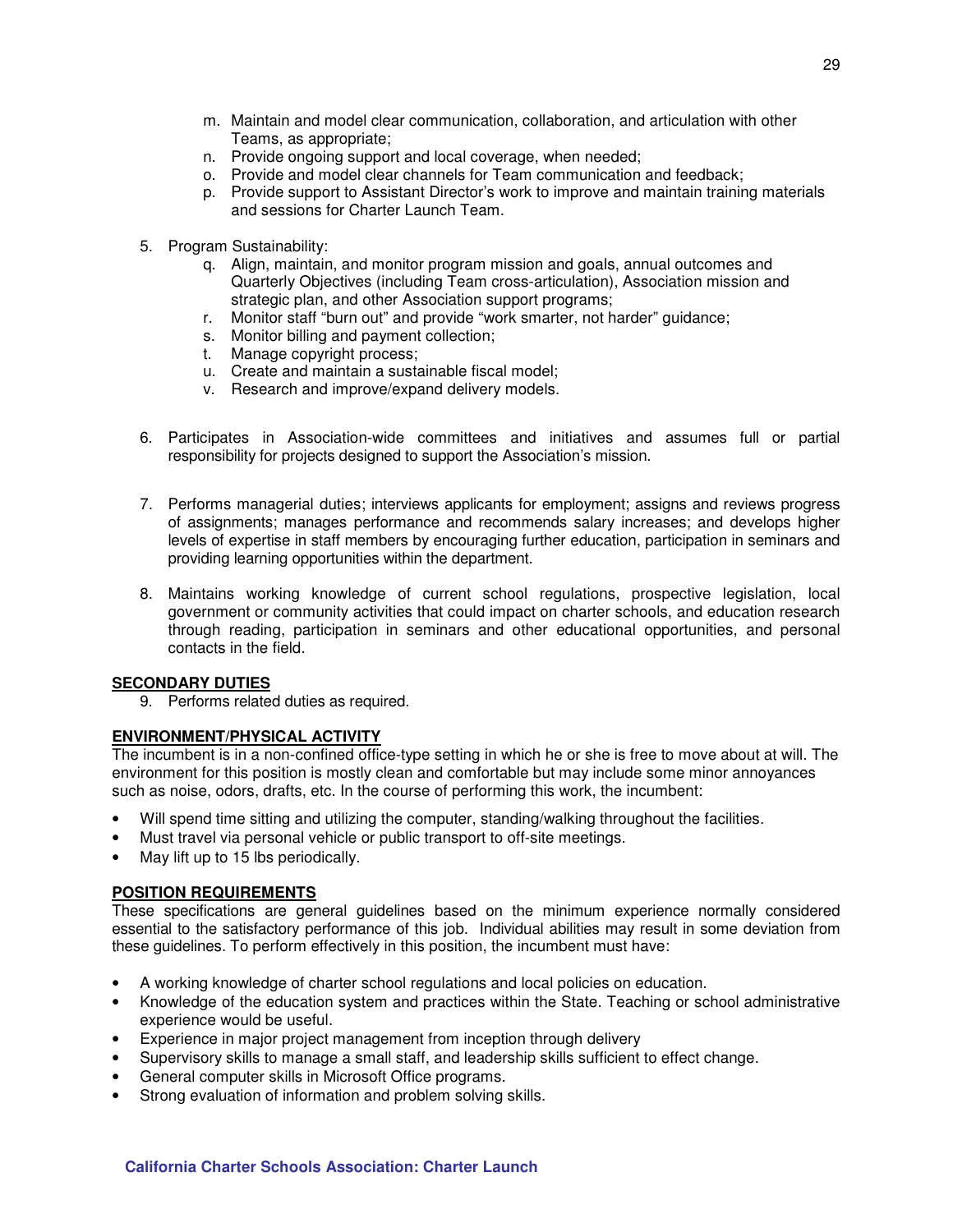- m. Maintain and model clear communication, collaboration, and articulation with other Teams, as appropriate;
- n. Provide ongoing support and local coverage, when needed;
- o. Provide and model clear channels for Team communication and feedback;
- p. Provide support to Assistant Director's work to improve and maintain training materials and sessions for Charter Launch Team.
- 5. Program Sustainability:
	- q. Align, maintain, and monitor program mission and goals, annual outcomes and Quarterly Objectives (including Team cross-articulation), Association mission and strategic plan, and other Association support programs;
	- r. Monitor staff "burn out" and provide "work smarter, not harder" guidance;
	- s. Monitor billing and payment collection;
	- t. Manage copyright process;
	- u. Create and maintain a sustainable fiscal model;
	- v. Research and improve/expand delivery models.
- 6. Participates in Association-wide committees and initiatives and assumes full or partial responsibility for projects designed to support the Association's mission.
- 7. Performs managerial duties; interviews applicants for employment; assigns and reviews progress of assignments; manages performance and recommends salary increases; and develops higher levels of expertise in staff members by encouraging further education, participation in seminars and providing learning opportunities within the department.
- 8. Maintains working knowledge of current school regulations, prospective legislation, local government or community activities that could impact on charter schools, and education research through reading, participation in seminars and other educational opportunities, and personal contacts in the field.

#### **SECONDARY DUTIES**

9. Performs related duties as required.

#### **ENVIRONMENT/PHYSICAL ACTIVITY**

The incumbent is in a non-confined office-type setting in which he or she is free to move about at will. The environment for this position is mostly clean and comfortable but may include some minor annoyances such as noise, odors, drafts, etc. In the course of performing this work, the incumbent:

- Will spend time sitting and utilizing the computer, standing/walking throughout the facilities.
- Must travel via personal vehicle or public transport to off-site meetings.
- May lift up to 15 lbs periodically.

#### **POSITION REQUIREMENTS**

These specifications are general guidelines based on the minimum experience normally considered essential to the satisfactory performance of this job. Individual abilities may result in some deviation from these guidelines. To perform effectively in this position, the incumbent must have:

- A working knowledge of charter school regulations and local policies on education.
- Knowledge of the education system and practices within the State. Teaching or school administrative experience would be useful.
- Experience in major project management from inception through delivery
- Supervisory skills to manage a small staff, and leadership skills sufficient to effect change.
- General computer skills in Microsoft Office programs.
- Strong evaluation of information and problem solving skills.

#### **California Charter Schools Association: Charter Launch**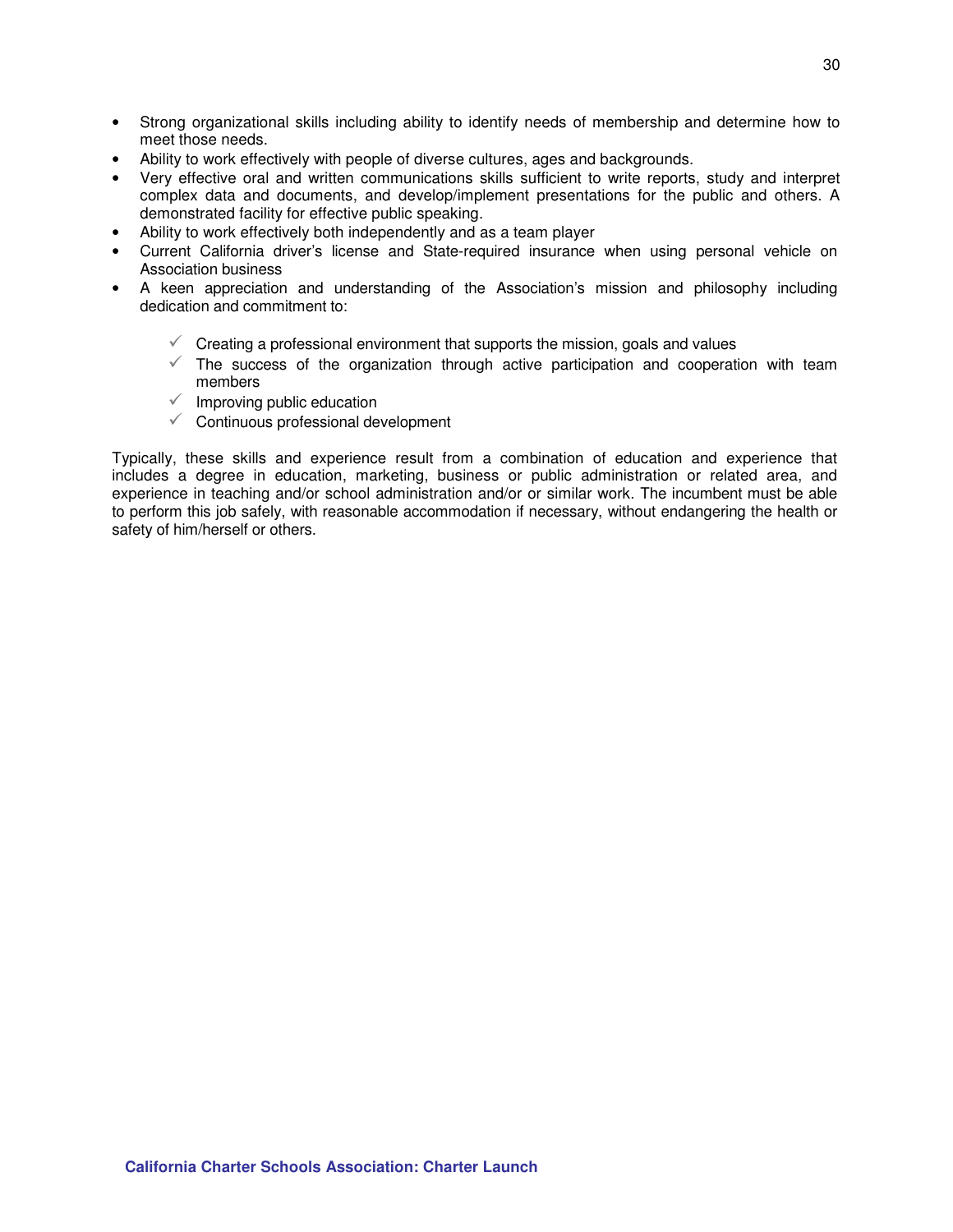- Strong organizational skills including ability to identify needs of membership and determine how to meet those needs.
- Ability to work effectively with people of diverse cultures, ages and backgrounds.
- Very effective oral and written communications skills sufficient to write reports, study and interpret complex data and documents, and develop/implement presentations for the public and others. A demonstrated facility for effective public speaking.
- Ability to work effectively both independently and as a team player
- Current California driver's license and State-required insurance when using personal vehicle on Association business
- A keen appreciation and understanding of the Association's mission and philosophy including dedication and commitment to:
	- $\checkmark$  Creating a professional environment that supports the mission, goals and values
	- $\checkmark$  The success of the organization through active participation and cooperation with team members
	- $\checkmark$  Improving public education
	- Continuous professional development

Typically, these skills and experience result from a combination of education and experience that includes a degree in education, marketing, business or public administration or related area, and experience in teaching and/or school administration and/or or similar work. The incumbent must be able to perform this job safely, with reasonable accommodation if necessary, without endangering the health or safety of him/herself or others.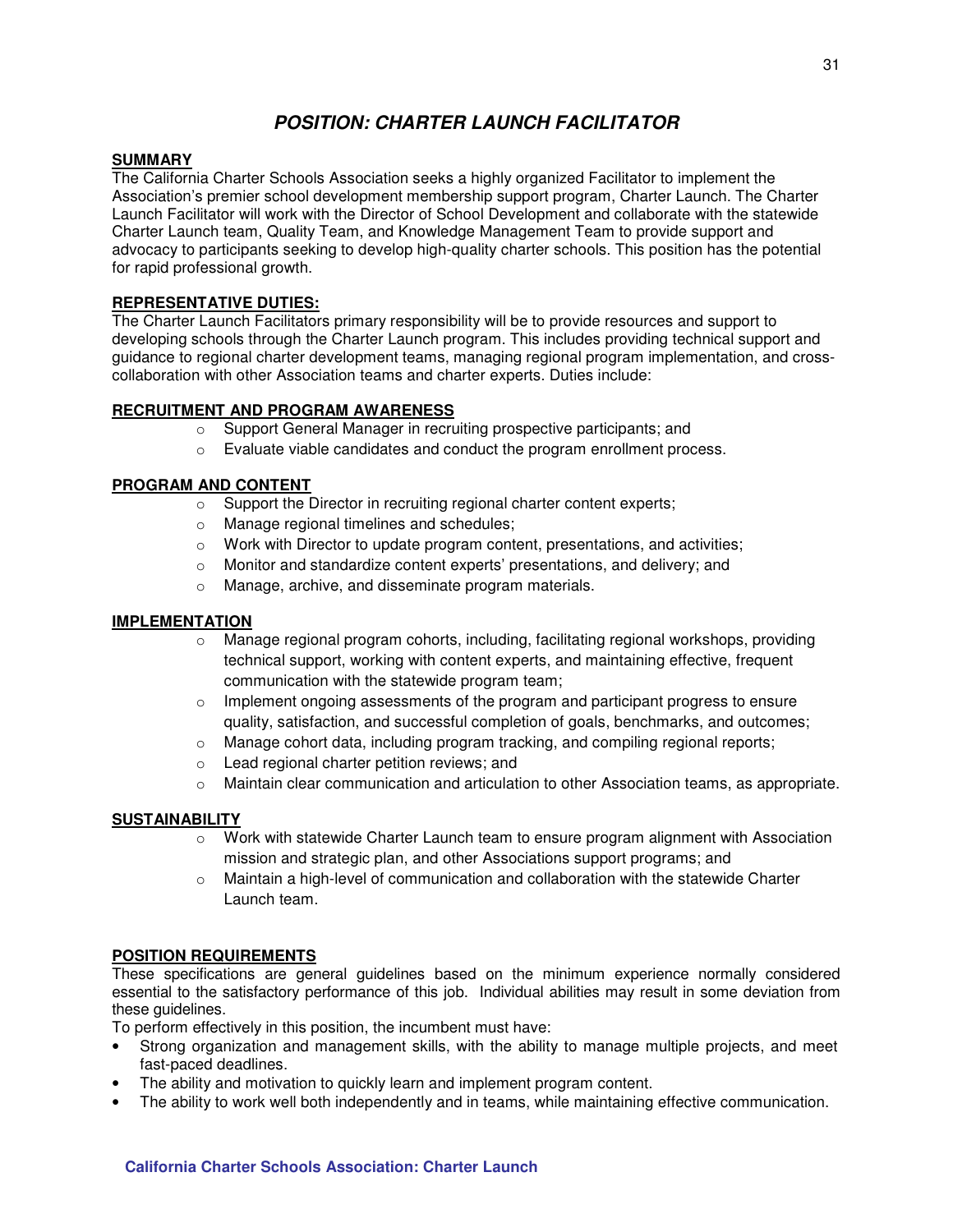# **POSITION: CHARTER LAUNCH FACILITATOR**

#### **SUMMARY**

The California Charter Schools Association seeks a highly organized Facilitator to implement the Association's premier school development membership support program, Charter Launch. The Charter Launch Facilitator will work with the Director of School Development and collaborate with the statewide Charter Launch team, Quality Team, and Knowledge Management Team to provide support and advocacy to participants seeking to develop high-quality charter schools. This position has the potential for rapid professional growth.

#### **REPRESENTATIVE DUTIES:**

The Charter Launch Facilitators primary responsibility will be to provide resources and support to developing schools through the Charter Launch program. This includes providing technical support and guidance to regional charter development teams, managing regional program implementation, and crosscollaboration with other Association teams and charter experts. Duties include:

#### **RECRUITMENT AND PROGRAM AWARENESS**

- o Support General Manager in recruiting prospective participants; and
- o Evaluate viable candidates and conduct the program enrollment process.

#### **PROGRAM AND CONTENT**

- o Support the Director in recruiting regional charter content experts;
- o Manage regional timelines and schedules;
- $\circ$  Work with Director to update program content, presentations, and activities;
- o Monitor and standardize content experts' presentations, and delivery; and
- o Manage, archive, and disseminate program materials.

#### **IMPLEMENTATION**

- $\circ$  Manage regional program cohorts, including, facilitating regional workshops, providing technical support, working with content experts, and maintaining effective, frequent communication with the statewide program team;
- $\circ$  Implement ongoing assessments of the program and participant progress to ensure quality, satisfaction, and successful completion of goals, benchmarks, and outcomes;
- $\circ$  Manage cohort data, including program tracking, and compiling regional reports;
- o Lead regional charter petition reviews; and
- $\circ$  Maintain clear communication and articulation to other Association teams, as appropriate.

#### **SUSTAINABILITY**

- o Work with statewide Charter Launch team to ensure program alignment with Association mission and strategic plan, and other Associations support programs; and
- $\circ$  Maintain a high-level of communication and collaboration with the statewide Charter Launch team.

#### **POSITION REQUIREMENTS**

These specifications are general guidelines based on the minimum experience normally considered essential to the satisfactory performance of this job. Individual abilities may result in some deviation from these quidelines.

To perform effectively in this position, the incumbent must have:

- Strong organization and management skills, with the ability to manage multiple projects, and meet fast-paced deadlines.
- The ability and motivation to quickly learn and implement program content.
- The ability to work well both independently and in teams, while maintaining effective communication.

31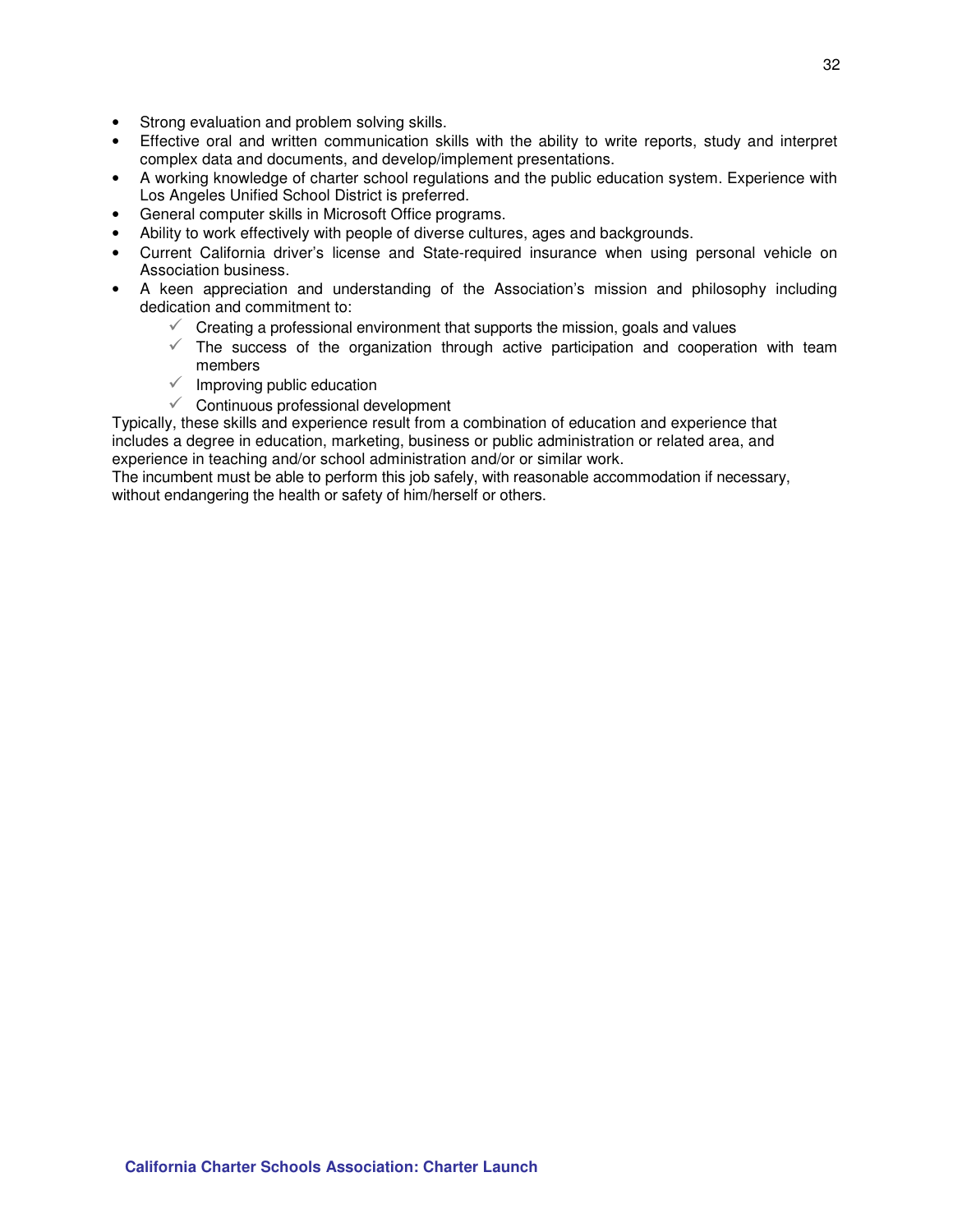- Strong evaluation and problem solving skills.
- Effective oral and written communication skills with the ability to write reports, study and interpret complex data and documents, and develop/implement presentations.
- A working knowledge of charter school regulations and the public education system. Experience with Los Angeles Unified School District is preferred.
- General computer skills in Microsoft Office programs.
- Ability to work effectively with people of diverse cultures, ages and backgrounds.
- Current California driver's license and State-required insurance when using personal vehicle on Association business.
- A keen appreciation and understanding of the Association's mission and philosophy including dedication and commitment to:
	- $\checkmark$  Creating a professional environment that supports the mission, goals and values
	- $\checkmark$  The success of the organization through active participation and cooperation with team members
	- $\checkmark$  Improving public education
	- Continuous professional development

Typically, these skills and experience result from a combination of education and experience that includes a degree in education, marketing, business or public administration or related area, and experience in teaching and/or school administration and/or or similar work.

The incumbent must be able to perform this job safely, with reasonable accommodation if necessary, without endangering the health or safety of him/herself or others.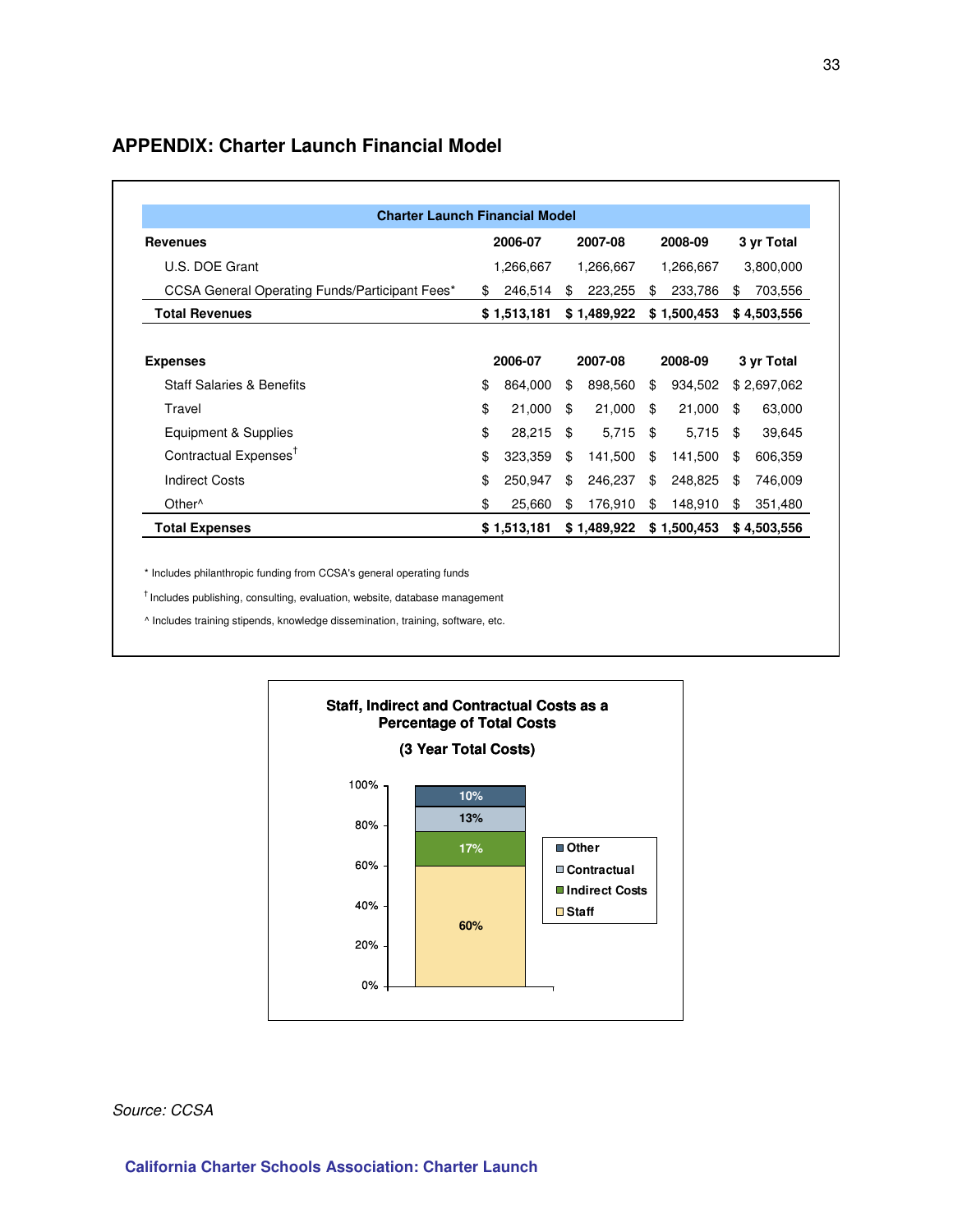### **APPENDIX: Charter Launch Financial Model**

| <b>Charter Launch Financial Model</b>          |    |             |    |             |    |             |    |             |
|------------------------------------------------|----|-------------|----|-------------|----|-------------|----|-------------|
| <b>Revenues</b>                                |    | 2006-07     |    | 2007-08     |    | 2008-09     |    | 3 yr Total  |
| U.S. DOE Grant                                 |    | 1,266,667   |    | 1,266,667   |    | 1,266,667   |    | 3,800,000   |
| CCSA General Operating Funds/Participant Fees* | \$ | 246,514     | \$ | 223,255     | \$ | 233,786     | \$ | 703,556     |
| <b>Total Revenues</b>                          |    | \$1,513,181 |    | \$1,489,922 |    | \$1,500,453 |    | \$4,503,556 |
|                                                |    |             |    |             |    |             |    |             |
| <b>Expenses</b>                                |    | 2006-07     |    | 2007-08     |    | 2008-09     |    | 3 yr Total  |
| <b>Staff Salaries &amp; Benefits</b>           | \$ | 864,000     | \$ | 898,560     | \$ | 934,502     |    | \$2,697,062 |
| Travel                                         | \$ | 21,000      | \$ | 21,000      | \$ | 21,000      | S  | 63,000      |
| Equipment & Supplies                           | \$ | 28,215      | \$ | 5,715       | \$ | 5,715       | \$ | 39,645      |
| Contractual Expenses <sup>†</sup>              | \$ | 323,359     | \$ | 141,500     | \$ | 141,500     | \$ | 606,359     |
| <b>Indirect Costs</b>                          | \$ | 250,947     | \$ | 246,237     | \$ | 248,825     | S  | 746,009     |
| Other <sup>^</sup>                             | \$ | 25,660      | \$ | 176,910     | \$ | 148,910     | \$ | 351,480     |
| <b>Total Expenses</b>                          |    | \$1,513,181 |    | \$1,489,922 |    | \$1,500,453 |    | \$4,503,556 |

\* Includes philanthropic funding from CCSA's general operating funds

 $^\dagger$  Includes publishing, consulting, evaluation, website, database management

^ Includes training stipends, knowledge dissemination, training, software, etc.



Source: CCSA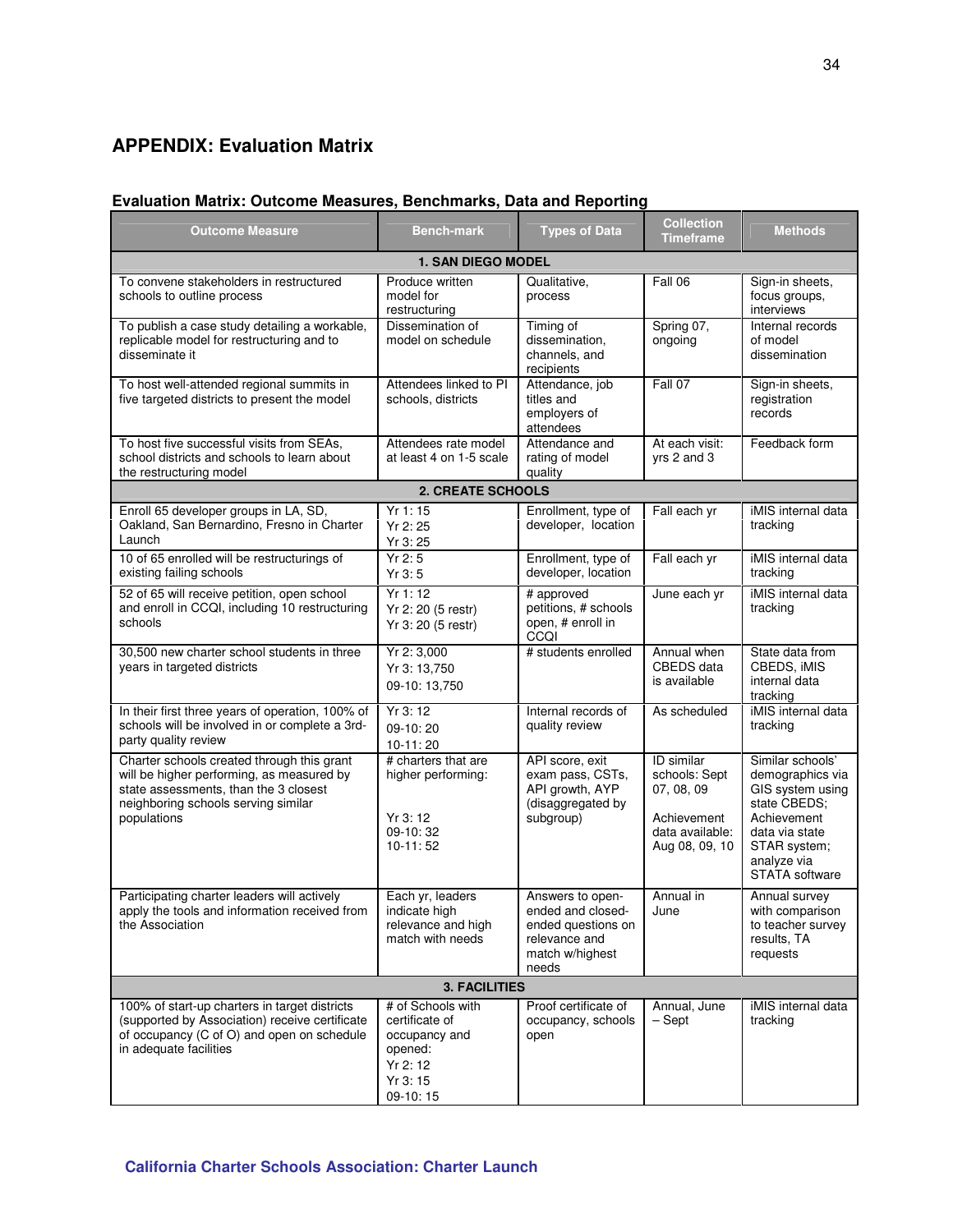# **APPENDIX: Evaluation Matrix**

# **Evaluation Matrix: Outcome Measures, Benchmarks, Data and Reporting**

| <b>Outcome Measure</b>                                                                                                                                                                 | <b>Bench-mark</b>                                                                                 | <b>Types of Data</b>                                                                                     | <b>Collection</b><br><b>Timeframe</b>                                                                | <b>Methods</b>                                                                                                                                                    |  |  |  |  |
|----------------------------------------------------------------------------------------------------------------------------------------------------------------------------------------|---------------------------------------------------------------------------------------------------|----------------------------------------------------------------------------------------------------------|------------------------------------------------------------------------------------------------------|-------------------------------------------------------------------------------------------------------------------------------------------------------------------|--|--|--|--|
| <b>1. SAN DIEGO MODEL</b>                                                                                                                                                              |                                                                                                   |                                                                                                          |                                                                                                      |                                                                                                                                                                   |  |  |  |  |
| To convene stakeholders in restructured<br>schools to outline process                                                                                                                  | Produce written<br>model for<br>restructuring                                                     | Qualitative,<br>process                                                                                  | Fall 06                                                                                              | Sign-in sheets,<br>focus groups,<br>interviews                                                                                                                    |  |  |  |  |
| To publish a case study detailing a workable,<br>replicable model for restructuring and to<br>disseminate it                                                                           | Dissemination of<br>model on schedule                                                             | Timing of<br>dissemination.<br>channels, and<br>recipients                                               | Spring 07,<br>ongoing                                                                                | Internal records<br>of model<br>dissemination                                                                                                                     |  |  |  |  |
| To host well-attended regional summits in<br>five targeted districts to present the model                                                                                              | Attendees linked to PI<br>schools, districts                                                      | Attendance, job<br>titles and<br>employers of<br>attendees                                               | Fall 07                                                                                              | Sign-in sheets,<br>registration<br>records                                                                                                                        |  |  |  |  |
| To host five successful visits from SEAs,<br>school districts and schools to learn about<br>the restructuring model                                                                    | Attendees rate model<br>at least 4 on 1-5 scale                                                   | Attendance and<br>rating of model<br>quality                                                             | At each visit:<br>yrs 2 and 3                                                                        | Feedback form                                                                                                                                                     |  |  |  |  |
|                                                                                                                                                                                        | <b>2. CREATE SCHOOLS</b>                                                                          |                                                                                                          |                                                                                                      |                                                                                                                                                                   |  |  |  |  |
| Enroll 65 developer groups in LA, SD,<br>Oakland, San Bernardino, Fresno in Charter<br>Launch                                                                                          | Yr 1: 15<br>Yr 2:25<br>Yr 3:25                                                                    | Enrollment, type of<br>developer, location                                                               | Fall each yr                                                                                         | iMIS internal data<br>tracking                                                                                                                                    |  |  |  |  |
| 10 of 65 enrolled will be restructurings of<br>existing failing schools                                                                                                                | Yr2:5<br>Yr 3:5                                                                                   | Enrollment, type of<br>developer, location                                                               | Fall each yr                                                                                         | iMIS internal data<br>tracking                                                                                                                                    |  |  |  |  |
| 52 of 65 will receive petition, open school<br>and enroll in CCQI, including 10 restructuring<br>schools                                                                               | Yr 1: 12<br>Yr 2: 20 (5 restr)<br>Yr 3: 20 (5 restr)                                              | # approved<br>petitions, # schools<br>open, # enroll in<br>CCQI                                          | June each yr                                                                                         | iMIS internal data<br>tracking                                                                                                                                    |  |  |  |  |
| 30,500 new charter school students in three<br>years in targeted districts                                                                                                             | Yr 2: 3,000<br>Yr 3: 13,750<br>09-10: 13,750                                                      | # students enrolled                                                                                      | Annual when<br>CBEDS data<br>is available                                                            | State data from<br>CBEDS, IMIS<br>internal data<br>tracking                                                                                                       |  |  |  |  |
| In their first three years of operation, 100% of<br>schools will be involved in or complete a 3rd-<br>party quality review                                                             | Yr 3: 12<br>09-10:20<br>$10-11:20$                                                                | Internal records of<br>quality review                                                                    | As scheduled                                                                                         | iMIS internal data<br>tracking                                                                                                                                    |  |  |  |  |
| Charter schools created through this grant<br>will be higher performing, as measured by<br>state assessments, than the 3 closest<br>neighboring schools serving similar<br>populations | # charters that are<br>higher performing:<br>Yr3:12<br>09-10:32<br>$10-11:52$                     | API score, exit<br>exam pass, CSTs,<br>API growth, AYP<br>(disaggregated by<br>subgroup)                 | <b>ID</b> similar<br>schools: Sept<br>07, 08, 09<br>Achievement<br>data available:<br>Aug 08, 09, 10 | Similar schools'<br>demographics via<br>GIS system using<br>state CBEDS;<br>Achievement<br>data via state<br>STAR system;<br>analyze via<br><b>STATA</b> software |  |  |  |  |
| Participating charter leaders will actively<br>apply the tools and information received from<br>the Association                                                                        | Each yr, leaders<br>indicate high<br>relevance and high<br>match with needs                       | Answers to open-<br>ended and closed-<br>ended questions on<br>relevance and<br>match w/highest<br>needs | Annual in<br>June                                                                                    | Annual survey<br>with comparison<br>to teacher survey<br>results, TA<br>requests                                                                                  |  |  |  |  |
| <b>3. FACILITIES</b>                                                                                                                                                                   |                                                                                                   |                                                                                                          |                                                                                                      |                                                                                                                                                                   |  |  |  |  |
| 100% of start-up charters in target districts<br>(supported by Association) receive certificate<br>of occupancy (C of O) and open on schedule<br>in adequate facilities                | # of Schools with<br>certificate of<br>occupancy and<br>opened:<br>Yr 2:12<br>Yr 3:15<br>09-10:15 | Proof certificate of<br>occupancy, schools<br>open                                                       | Annual, June<br>$-$ Sept                                                                             | iMIS internal data<br>tracking                                                                                                                                    |  |  |  |  |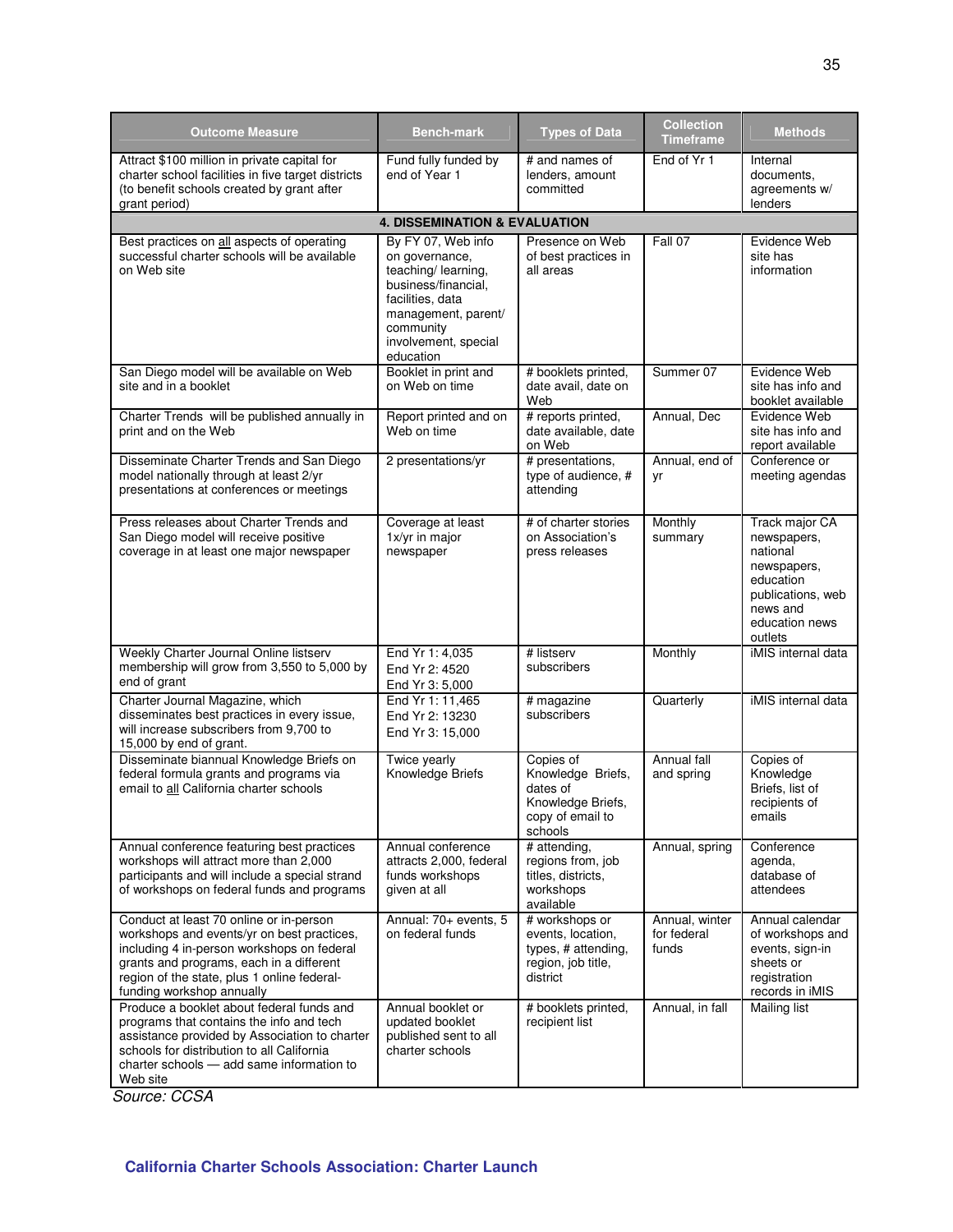| <b>Outcome Measure</b>                                                                                                                                                                                                                                      | <b>Bench-mark</b>                                                                                                                                                               | <b>Types of Data</b>                                                                           | <b>Collection</b><br><b>Timeframe</b>  | <b>Methods</b>                                                                                                                      |  |
|-------------------------------------------------------------------------------------------------------------------------------------------------------------------------------------------------------------------------------------------------------------|---------------------------------------------------------------------------------------------------------------------------------------------------------------------------------|------------------------------------------------------------------------------------------------|----------------------------------------|-------------------------------------------------------------------------------------------------------------------------------------|--|
| Attract \$100 million in private capital for<br>charter school facilities in five target districts<br>(to benefit schools created by grant after<br>grant period)                                                                                           | Fund fully funded by<br>end of Year 1                                                                                                                                           | # and names of<br>lenders, amount<br>committed                                                 | End of Yr 1                            | Internal<br>documents,<br>agreements w/<br>lenders                                                                                  |  |
|                                                                                                                                                                                                                                                             | <b>4. DISSEMINATION &amp; EVALUATION</b>                                                                                                                                        |                                                                                                |                                        |                                                                                                                                     |  |
| Best practices on all aspects of operating<br>successful charter schools will be available<br>on Web site                                                                                                                                                   | By FY 07, Web info<br>on governance,<br>teaching/ learning,<br>business/financial.<br>facilities, data<br>management, parent/<br>community<br>involvement, special<br>education | Presence on Web<br>of best practices in<br>all areas                                           | Fall 07                                | Evidence Web<br>site has<br>information                                                                                             |  |
| San Diego model will be available on Web<br>site and in a booklet                                                                                                                                                                                           | Booklet in print and<br>on Web on time                                                                                                                                          | # booklets printed,<br>date avail, date on<br>Web                                              | Summer 07                              | Evidence Web<br>site has info and<br>booklet available                                                                              |  |
| Charter Trends will be published annually in<br>print and on the Web                                                                                                                                                                                        | Report printed and on<br>Web on time                                                                                                                                            | # reports printed,<br>date available, date<br>on Web                                           | Annual, Dec                            | Evidence Web<br>site has info and<br>report available                                                                               |  |
| Disseminate Charter Trends and San Diego<br>model nationally through at least 2/yr<br>presentations at conferences or meetings                                                                                                                              | 2 presentations/yr                                                                                                                                                              | # presentations,<br>type of audience, #<br>attending                                           | Annual, end of<br>yr                   | Conference or<br>meeting agendas                                                                                                    |  |
| Press releases about Charter Trends and<br>San Diego model will receive positive<br>coverage in at least one major newspaper                                                                                                                                | Coverage at least<br>1x/yr in major<br>newspaper                                                                                                                                | # of charter stories<br>on Association's<br>press releases                                     | Monthly<br>summary                     | Track major CA<br>newspapers,<br>national<br>newspapers,<br>education<br>publications, web<br>news and<br>education news<br>outlets |  |
| Weekly Charter Journal Online listserv<br>membership will grow from 3,550 to 5,000 by<br>end of grant                                                                                                                                                       | End Yr 1: 4,035<br>End Yr 2: 4520<br>End Yr 3: 5,000                                                                                                                            | # listserv<br>subscribers                                                                      | Monthly                                | iMIS internal data                                                                                                                  |  |
| Charter Journal Magazine, which<br>disseminates best practices in every issue,<br>will increase subscribers from 9,700 to<br>15,000 by end of grant.                                                                                                        | End Yr 1: 11,465<br>End Yr 2: 13230<br>End Yr 3: 15,000                                                                                                                         | # magazine<br>subscribers                                                                      | Quarterly                              | iMIS internal data                                                                                                                  |  |
| Disseminate biannual Knowledge Briefs on<br>federal formula grants and programs via<br>email to all California charter schools                                                                                                                              | Twice yearly<br>Knowledge Briefs                                                                                                                                                | Copies of<br>Knowledge Briefs,<br>dates of<br>Knowledge Briefs,<br>copy of email to<br>schools | Annual fall<br>and spring              | Copies of<br>Knowledge<br>Briefs, list of<br>recipients of<br>emails                                                                |  |
| Annual conference featuring best practices<br>workshops will attract more than 2,000<br>participants and will include a special strand<br>of workshops on federal funds and programs                                                                        | Annual conference<br>attracts 2,000, federal<br>funds workshops<br>given at all                                                                                                 | # attending,<br>regions from, job<br>titles, districts,<br>workshops<br>available              | Annual, spring                         | Conference<br>agenda,<br>database of<br>attendees                                                                                   |  |
| Conduct at least 70 online or in-person<br>workshops and events/yr on best practices,<br>including 4 in-person workshops on federal<br>grants and programs, each in a different<br>region of the state, plus 1 online federal-<br>funding workshop annually | Annual: 70+ events, 5<br>on federal funds                                                                                                                                       | # workshops or<br>events, location,<br>types, # attending,<br>region, job title,<br>district   | Annual, winter<br>for federal<br>funds | Annual calendar<br>of workshops and<br>events, sign-in<br>sheets or<br>registration<br>records in iMIS                              |  |
| Produce a booklet about federal funds and<br>programs that contains the info and tech<br>assistance provided by Association to charter<br>schools for distribution to all California<br>charter schools - add same information to<br>Web site               | Annual booklet or<br>updated booklet<br>published sent to all<br>charter schools                                                                                                | # booklets printed,<br>recipient list                                                          | Annual, in fall                        | Mailing list                                                                                                                        |  |

Source: CCSA